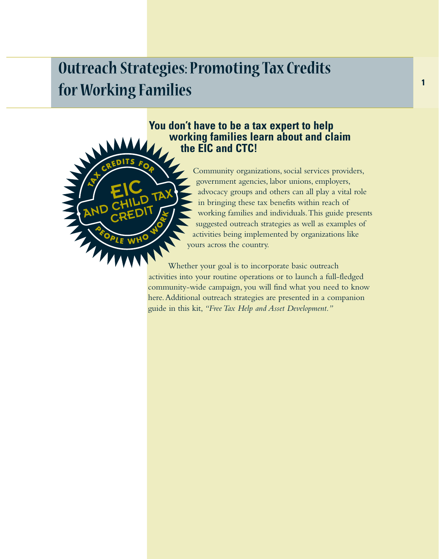# **Outreach Strategies: Promoting Tax Credits for Working Families**

AND

## **You don't have to be a tax expert to help working families learn about and claim the EIC and CTC!**



Whether your goal is to incorporate basic outreach activities into your routine operations or to launch a full-fledged community-wide campaign, you will find what you need to know here.Additional outreach strategies are presented in a companion guide in this kit, *"Free Tax Help and Asset Development."*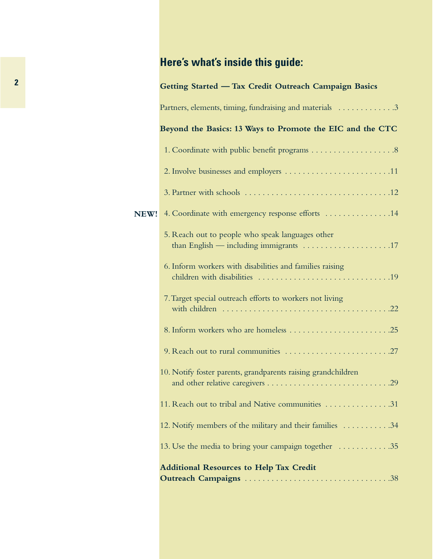# **Here's what's inside this guide:**

|      | Getting Started - Tax Credit Outreach Campaign Basics         |  |
|------|---------------------------------------------------------------|--|
|      | Partners, elements, timing, fundraising and materials 3       |  |
|      | Beyond the Basics: 13 Ways to Promote the EIC and the CTC     |  |
|      |                                                               |  |
|      |                                                               |  |
|      |                                                               |  |
| NEW! | 4. Coordinate with emergency response efforts 14              |  |
|      | 5. Reach out to people who speak languages other              |  |
|      | 6. Inform workers with disabilities and families raising      |  |
|      | 7. Target special outreach efforts to workers not living      |  |
|      |                                                               |  |
|      |                                                               |  |
|      | 10. Notify foster parents, grandparents raising grandchildren |  |
|      | 11. Reach out to tribal and Native communities 31             |  |
|      | 12. Notify members of the military and their families 34      |  |
|      | 13. Use the media to bring your campaign together  35         |  |
|      | <b>Additional Resources to Help Tax Credit</b>                |  |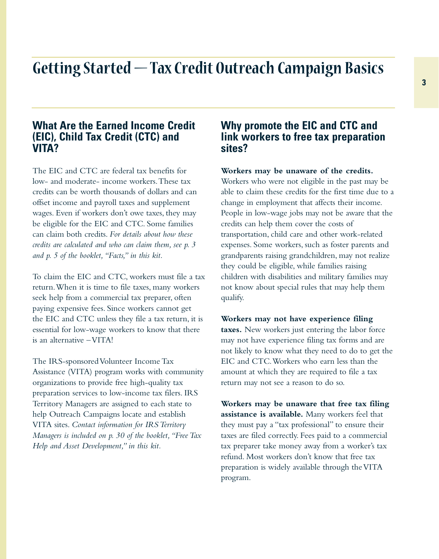# **Getting Started — Tax Credit Outreach Campaign Basics**

## **What Are the Earned Income Credit (EIC), Child Tax Credit (CTC) and VITA?**

The EIC and CTC are federal tax benefits for low- and moderate- income workers.These tax credits can be worth thousands of dollars and can offset income and payroll taxes and supplement wages. Even if workers don't owe taxes, they may be eligible for the EIC and CTC. Some families can claim both credits. *For details about how these credits are calculated and who can claim them, see p. 3 and p. 5 of the booklet,"Facts," in this kit.*

To claim the EIC and CTC, workers must file a tax return.When it is time to file taxes, many workers seek help from a commercial tax preparer, often paying expensive fees. Since workers cannot get the EIC and CTC unless they file a tax return, it is essential for low-wage workers to know that there is an alternative – VITA!

The IRS-sponsored Volunteer Income Tax Assistance (VITA) program works with community organizations to provide free high-quality tax preparation services to low-income tax filers. IRS Territory Managers are assigned to each state to help Outreach Campaigns locate and establish VITA sites. *Contact information for IRS Territory Managers is included on p. 30 of the booklet,"Free Tax Help and Asset Development," in this kit.*

## **Why promote the EIC and CTC and link workers to free tax preparation sites?**

**Workers may be unaware of the credits.**

Workers who were not eligible in the past may be able to claim these credits for the first time due to a change in employment that affects their income. People in low-wage jobs may not be aware that the credits can help them cover the costs of transportation, child care and other work-related expenses. Some workers, such as foster parents and grandparents raising grandchildren, may not realize they could be eligible, while families raising children with disabilities and military families may not know about special rules that may help them qualify.

**Workers may not have experience filing taxes.** New workers just entering the labor force may not have experience filing tax forms and are not likely to know what they need to do to get the EIC and CTC.Workers who earn less than the amount at which they are required to file a tax return may not see a reason to do so.

**Workers may be unaware that free tax filing assistance is available.** Many workers feel that they must pay a "tax professional" to ensure their taxes are filed correctly. Fees paid to a commercial tax preparer take money away from a worker's tax refund. Most workers don't know that free tax preparation is widely available through the VITA program.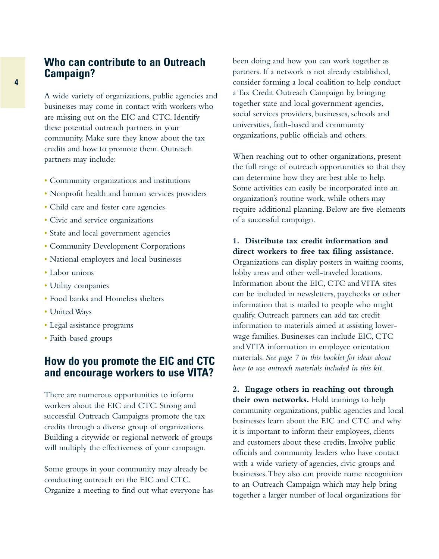## **Who can contribute to an Outreach Campaign?**

A wide variety of organizations, public agencies and businesses may come in contact with workers who are missing out on the EIC and CTC. Identify these potential outreach partners in your community. Make sure they know about the tax credits and how to promote them. Outreach partners may include:

- Community organizations and institutions
- Nonprofit health and human services providers
- Child care and foster care agencies
- Civic and service organizations
- State and local government agencies
- Community Development Corporations
- National employers and local businesses
- Labor unions
- Utility companies
- Food banks and Homeless shelters
- United Ways
- Legal assistance programs
- Faith-based groups

## **How do you promote the EIC and CTC and encourage workers to use VITA?**

There are numerous opportunities to inform workers about the EIC and CTC. Strong and successful Outreach Campaigns promote the tax credits through a diverse group of organizations. Building a citywide or regional network of groups will multiply the effectiveness of your campaign.

Some groups in your community may already be conducting outreach on the EIC and CTC. Organize a meeting to find out what everyone has been doing and how you can work together as partners. If a network is not already established, consider forming a local coalition to help conduct a Tax Credit Outreach Campaign by bringing together state and local government agencies, social services providers, businesses, schools and universities, faith-based and community organizations, public officials and others.

When reaching out to other organizations, present the full range of outreach opportunities so that they can determine how they are best able to help. Some activities can easily be incorporated into an organization's routine work, while others may require additional planning. Below are five elements of a successful campaign.

#### **1. Distribute tax credit information and direct workers to free tax filing assistance.**

Organizations can display posters in waiting rooms, lobby areas and other well-traveled locations. Information about the EIC, CTC and VITA sites can be included in newsletters, paychecks or other information that is mailed to people who might qualify. Outreach partners can add tax credit information to materials aimed at assisting lowerwage families. Businesses can include EIC, CTC and VITA information in employee orientation materials. *See page 7 in this booklet for ideas about how to use outreach materials included in this kit.*

**2. Engage others in reaching out through their own networks.** Hold trainings to help community organizations, public agencies and local businesses learn about the EIC and CTC and why it is important to inform their employees, clients and customers about these credits. Involve public officials and community leaders who have contact with a wide variety of agencies, civic groups and businesses.They also can provide name recognition to an Outreach Campaign which may help bring together a larger number of local organizations for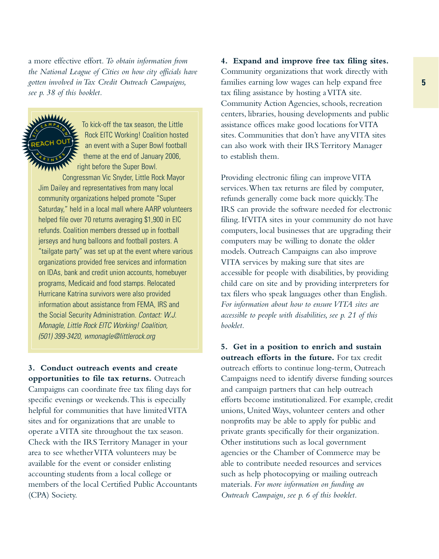a more effective effort. *To obtain information from the National League of Cities on how city officials have gotten involved in Tax Credit Outreach Campaigns, see p. 38 of this booklet.*



To kick-off the tax season, the Little Rock EITC Working! Coalition hosted an event with a Super Bowl football theme at the end of January 2006, right before the Super Bowl.

Congressman Vic Snyder, Little Rock Mayor Jim Dailey and representatives from many local community organizations helped promote "Super Saturday," held in a local mall where AARP volunteers helped file over 70 returns averaging \$1,900 in EIC refunds. Coalition members dressed up in football jerseys and hung balloons and football posters. A "tailgate party" was set up at the event where various organizations provided free services and information on IDAs, bank and credit union accounts, homebuyer programs, Medicaid and food stamps. Relocated Hurricane Katrina survivors were also provided information about assistance from FEMA, IRS and the Social Security Administration. Contact: W.J. Monagle, Little Rock EITC Working! Coalition, (501) 399-3420, wmonagle@littlerock.org

**3. Conduct outreach events and create opportunities to file tax returns.** Outreach Campaigns can coordinate free tax filing days for specific evenings or weekends.This is especially helpful for communities that have limited VITA sites and for organizations that are unable to operate a VITA site throughout the tax season. Check with the IRS Territory Manager in your area to see whether VITA volunteers may be available for the event or consider enlisting accounting students from a local college or members of the local Certified Public Accountants (CPA) Society.

**4. Expand and improve free tax filing sites.** Community organizations that work directly with families earning low wages can help expand free tax filing assistance by hosting a VITA site. Community Action Agencies, schools, recreation centers, libraries, housing developments and public assistance offices make good locations for VITA sites. Communities that don't have any VITA sites can also work with their IRS Territory Manager to establish them.

Providing electronic filing can improve VITA services.When tax returns are filed by computer, refunds generally come back more quickly.The IRS can provide the software needed for electronic filing. If VITA sites in your community do not have computers, local businesses that are upgrading their computers may be willing to donate the older models. Outreach Campaigns can also improve VITA services by making sure that sites are accessible for people with disabilities, by providing child care on site and by providing interpreters for tax filers who speak languages other than English. *For information about how to ensure VITA sites are accessible to people with disabilities, see p. 21 of this booklet.*

**5. Get in a position to enrich and sustain outreach efforts in the future.** For tax credit outreach efforts to continue long-term, Outreach Campaigns need to identify diverse funding sources and campaign partners that can help outreach efforts become institutionalized. For example, credit unions, United Ways, volunteer centers and other nonprofits may be able to apply for public and private grants specifically for their organization. Other institutions such as local government agencies or the Chamber of Commerce may be able to contribute needed resources and services such as help photocopying or mailing outreach materials. *For more information on funding an Outreach Campaign, see p. 6 of this booklet.*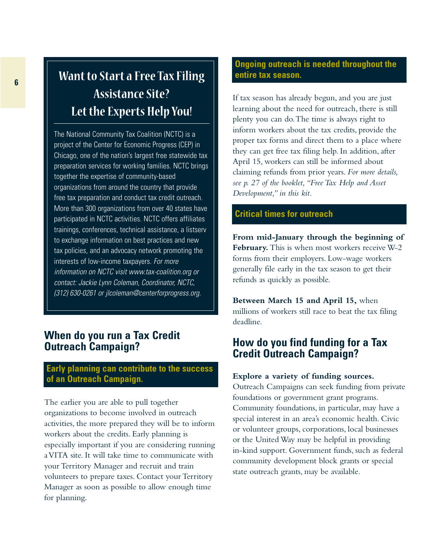# **Want to Start a Free Tax Filing Assistance Site? Let the Experts Help You!**

The National Community Tax Coalition (NCTC) is a project of the Center for Economic Progress (CEP) in Chicago, one of the nation's largest free statewide tax preparation services for working families. NCTC brings together the expertise of community-based organizations from around the country that provide free tax preparation and conduct tax credit outreach. More than 300 organizations from over 40 states have participated in NCTC activities. NCTC offers affiliates trainings, conferences, technical assistance, a listserv to exchange information on best practices and new tax policies, and an advocacy network promoting the interests of low-income taxpayers. For more information on NCTC visit www.tax-coalition.org or contact: Jackie Lynn Coleman, Coordinator, NCTC, (312) 630-0261 or jlcoleman@centerforprogress.org.

## **When do you run a Tax Credit Outreach Campaign?**

#### **Early planning can contribute to the success of an Outreach Campaign.**

The earlier you are able to pull together organizations to become involved in outreach activities, the more prepared they will be to inform workers about the credits. Early planning is especially important if you are considering running a VITA site. It will take time to communicate with your Territory Manager and recruit and train volunteers to prepare taxes. Contact your Territory Manager as soon as possible to allow enough time for planning.

## **Ongoing outreach is needed throughout the entire tax season.**

If tax season has already begun, and you are just learning about the need for outreach, there is still plenty you can do.The time is always right to inform workers about the tax credits, provide the proper tax forms and direct them to a place where they can get free tax filing help. In addition, after April 15, workers can still be informed about claiming refunds from prior years. *For more details, see p. 27 of the booklet,"Free Tax Help and Asset Development," in this kit.*

#### **Critical times for outreach**

**From mid-January through the beginning of February.** This is when most workers receive W-2 forms from their employers. Low-wage workers generally file early in the tax season to get their refunds as quickly as possible.

**Between March 15 and April 15,** when millions of workers still race to beat the tax filing deadline.

## **How do you find funding for a Tax Credit Outreach Campaign?**

#### **Explore a variety of funding sources.**

Outreach Campaigns can seek funding from private foundations or government grant programs. Community foundations, in particular, may have a special interest in an area's economic health. Civic or volunteer groups, corporations, local businesses or the United Way may be helpful in providing in-kind support. Government funds, such as federal community development block grants or special state outreach grants, may be available.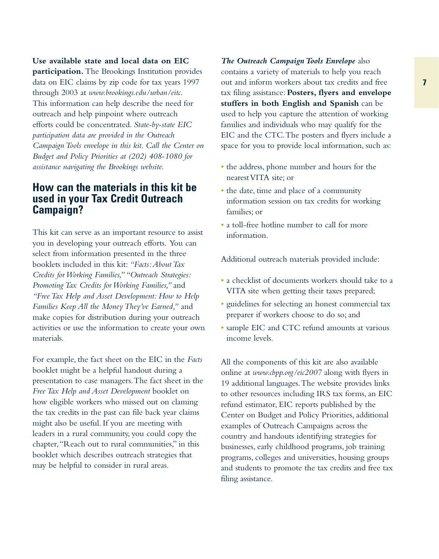**Use available state and local data on EIC participation.** The Brookings Institution provides data on EIC claims by zip code for tax years 1997 through 2003 at *www.brookings.edu/urban/eitc*. This information can help describe the need for outreach and help pinpoint where outreach efforts could be concentrated. *State-by-state EIC participation data are provided in the Outreach Campaign Tools envelope in this kit. Call the Center on Budget and Policy Priorities at (202) 408-1080 for assistance navigating the Brookings website.*

## **How can the materials in this kit be used in your Tax Credit Outreach Campaign?**

This kit can serve as an important resource to assist you in developing your outreach efforts. You can select from information presented in the three booklets included in this kit: *"Facts:About Tax Credits for Working Families,""Outreach Strategies: Promoting Tax Credits for Working Families,"* and *"Free Tax Help and Asset Development: How to Help Families Keep All the Money They've Earned,"* and make copies for distribution during your outreach activities or use the information to create your own materials.

For example, the fact sheet on the EIC in the *Facts* booklet might be a helpful handout during a presentation to case managers.The fact sheet in the *Free Tax Help and Asset Development* booklet on how eligible workers who missed out on claming the tax credits in the past can file back year claims might also be useful. If you are meeting with leaders in a rural community, you could copy the chapter,"Reach out to rural communities," in this booklet which describes outreach strategies that may be helpful to consider in rural areas.

*The Outreach Campaign Tools Envelope* also contains a variety of materials to help you reach out and inform workers about tax credits and free tax filing assistance: **Posters, flyers and envelope stuffers in both English and Spanish** can be used to help you capture the attention of working families and individuals who may qualify for the EIC and the CTC.The posters and flyers include a space for you to provide local information, such as:

- the address, phone number and hours for the nearest VITA site; or
- the date, time and place of a community information session on tax credits for working families; or
- a toll-free hotline number to call for more information.

Additional outreach materials provided include:

- a checklist of documents workers should take to a VITA site when getting their taxes prepared;
- guidelines for selecting an honest commercial tax preparer if workers choose to do so; and
- sample EIC and CTC refund amounts at various income levels.

All the components of this kit are also available online at *www.cbpp.org/eic2007* along with flyers in 19 additional languages.The website provides links to other resources including IRS tax forms, an EIC refund estimator, EIC reports published by the Center on Budget and Policy Priorities, additional examples of Outreach Campaigns across the country and handouts identifying strategies for businesses, early childhood programs, job training programs, colleges and universities, housing groups and students to promote the tax credits and free tax filing assistance.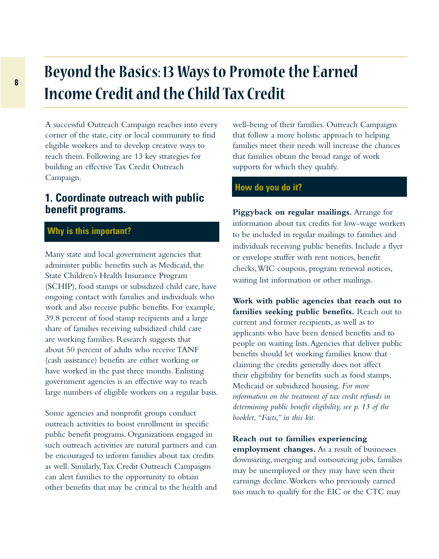# **<sup>8</sup> Beyond the Basics: 13 Ways to Promote the Earned Income Credit and the Child Tax Credit**

A successful Outreach Campaign reaches into every corner of the state, city or local community to find eligible workers and to develop creative ways to reach them. Following are 13 key strategies for building an effective Tax Credit Outreach Campaign.

## **1. Coordinate outreach with public benefit programs.**

## **Why is this important?**

Many state and local government agencies that administer public benefits such as Medicaid, the State Children's Health Insurance Program (SCHIP), food stamps or subsidized child care, have ongoing contact with families and individuals who work and also receive public benefits. For example, 39.8 percent of food stamp recipients and a large share of families receiving subsidized child care are working families. Research suggests that about 50 percent of adults who receive TANF (cash assistance) benefits are either working or have worked in the past three months. Enlisting government agencies is an effective way to reach large numbers of eligible workers on a regular basis.

Some agencies and nonprofit groups conduct outreach activities to boost enrollment in specific public benefit programs. Organizations engaged in such outreach activities are natural partners and can be encouraged to inform families about tax credits as well. Similarly,Tax Credit Outreach Campaigns can alert families to the opportunity to obtain other benefits that may be critical to the health and well-being of their families. Outreach Campaigns that follow a more holistic approach to helping families meet their needs will increase the chances that families obtain the broad range of work supports for which they qualify.

## **How do you do it?**

**Piggyback on regular mailings.** Arrange for information about tax credits for low-wage workers to be included in regular mailings to families and individuals receiving public benefits. Include a flyer or envelope stuffer with rent notices, benefit checks,WIC coupons, program renewal notices, waiting list information or other mailings.

**Work with public agencies that reach out to families seeking public benefits.** Reach out to current and former recipients, as well as to applicants who have been denied benefits and to people on waiting lists.Agencies that deliver public benefits should let working families know that claiming the credits generally does not affect their eligibility for benefits such as food stamps, Medicaid or subsidized housing. *For more information on the treatment of tax credit refunds in determining public benefit eligibility, see p. 13 of the booklet,"Facts," in this kit.*

**Reach out to families experiencing employment changes.** As a result of businesses downsizing, merging and outsourcing jobs, families may be unemployed or they may have seen their earnings decline.Workers who previously earned too much to qualify for the EIC or the CTC may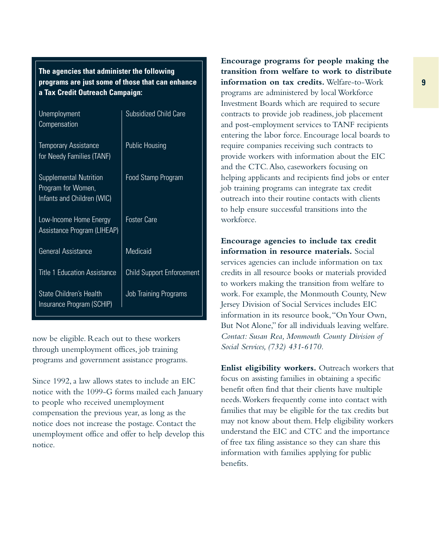**The agencies that administer the following programs are just some of those that can enhance a Tax Credit Outreach Campaign:**

| <b>Unemployment</b><br>Compensation                                               | <b>Subsidized Child Care</b>     |
|-----------------------------------------------------------------------------------|----------------------------------|
| <b>Temporary Assistance</b><br>for Needy Families (TANF)                          | <b>Public Housing</b>            |
| <b>Supplemental Nutrition</b><br>Program for Women,<br>Infants and Children (WIC) | Food Stamp Program               |
| Low-Income Home Energy<br><b>Assistance Program (LIHEAP)</b>                      | <b>Foster Care</b>               |
| <b>General Assistance</b>                                                         | <b>Medicaid</b>                  |
| <b>Title 1 Education Assistance</b>                                               | <b>Child Support Enforcement</b> |
| State Children's Health<br>Insurance Program (SCHIP)                              | <b>Job Training Programs</b>     |

now be eligible. Reach out to these workers through unemployment offices, job training programs and government assistance programs.

Since 1992, a law allows states to include an EIC notice with the 1099-G forms mailed each January to people who received unemployment compensation the previous year, as long as the notice does not increase the postage. Contact the unemployment office and offer to help develop this notice.

**Encourage programs for people making the transition from welfare to work to distribute information on tax credits.** Welfare-to-Work programs are administered by local Workforce Investment Boards which are required to secure contracts to provide job readiness, job placement and post-employment services to TANF recipients entering the labor force. Encourage local boards to require companies receiving such contracts to provide workers with information about the EIC and the CTC.Also, caseworkers focusing on helping applicants and recipients find jobs or enter job training programs can integrate tax credit outreach into their routine contacts with clients to help ensure successful transitions into the workforce.

**Encourage agencies to include tax credit information in resource materials.** Social services agencies can include information on tax credits in all resource books or materials provided to workers making the transition from welfare to work. For example, the Monmouth County, New Jersey Division of Social Services includes EIC information in its resource book,"On Your Own, But Not Alone," for all individuals leaving welfare. *Contact: Susan Rea, Monmouth County Division of Social Services, (732) 431-6170.*

**Enlist eligibility workers.** Outreach workers that focus on assisting families in obtaining a specific benefit often find that their clients have multiple needs.Workers frequently come into contact with families that may be eligible for the tax credits but may not know about them. Help eligibility workers understand the EIC and CTC and the importance of free tax filing assistance so they can share this information with families applying for public benefits.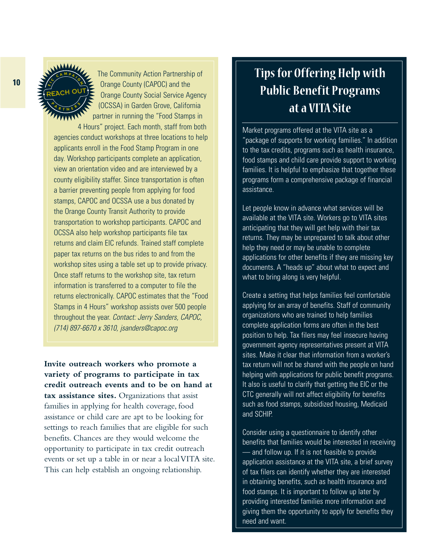#### **E**ن<br>/ن **<sup>C</sup> <sup>A</sup> <sup>M</sup> <sup>P</sup> <sup>A</sup> <sup>I</sup> <sup>G</sup> N**  $\sqrt[n]{\frac{A}{R}}$  **T N E**  $\frac{6}{5}$ REACH OUT

The Community Action Partnership of Orange County (CAPOC) and the Orange County Social Service Agency (OCSSA) in Garden Grove, California partner in running the "Food Stamps in 4 Hours" project. Each month, staff from both

agencies conduct workshops at three locations to help applicants enroll in the Food Stamp Program in one day. Workshop participants complete an application, view an orientation video and are interviewed by a county eligibility staffer. Since transportation is often a barrier preventing people from applying for food stamps, CAPOC and OCSSA use a bus donated by the Orange County Transit Authority to provide transportation to workshop participants. CAPOC and OCSSA also help workshop participants file tax returns and claim EIC refunds. Trained staff complete paper tax returns on the bus rides to and from the workshop sites using a table set up to provide privacy. Once staff returns to the workshop site, tax return information is transferred to a computer to file the returns electronically. CAPOC estimates that the "Food Stamps in 4 Hours" workshop assists over 500 people throughout the year. Contact: Jerry Sanders, CAPOC, (714) 897-6670 x 3610, jsanders@capoc.org

**Invite outreach workers who promote a variety of programs to participate in tax credit outreach events and to be on hand at tax assistance sites.** Organizations that assist families in applying for health coverage, food assistance or child care are apt to be looking for settings to reach families that are eligible for such benefits. Chances are they would welcome the opportunity to participate in tax credit outreach events or set up a table in or near a local VITA site. This can help establish an ongoing relationship.

# **Tips for Offering Help with Public Benefit Programs at a VITA Site**

Market programs offered at the VITA site as a "package of supports for working families." In addition to the tax credits, programs such as health insurance, food stamps and child care provide support to working families. It is helpful to emphasize that together these programs form a comprehensive package of financial assistance.

Let people know in advance what services will be available at the VITA site. Workers go to VITA sites anticipating that they will get help with their tax returns. They may be unprepared to talk about other help they need or may be unable to complete applications for other benefits if they are missing key documents. A "heads up" about what to expect and what to bring along is very helpful.

Create a setting that helps families feel comfortable applying for an array of benefits. Staff of community organizations who are trained to help families complete application forms are often in the best position to help. Tax filers may feel insecure having government agency representatives present at VITA sites. Make it clear that information from a worker's tax return will not be shared with the people on hand helping with applications for public benefit programs. It also is useful to clarify that getting the EIC or the CTC generally will not affect eligibility for benefits such as food stamps, subsidized housing, Medicaid and SCHIP.

Consider using a questionnaire to identify other benefits that families would be interested in receiving — and follow up. If it is not feasible to provide application assistance at the VITA site, a brief survey of tax filers can identify whether they are interested in obtaining benefits, such as health insurance and food stamps. It is important to follow up later by providing interested families more information and giving them the opportunity to apply for benefits they need and want.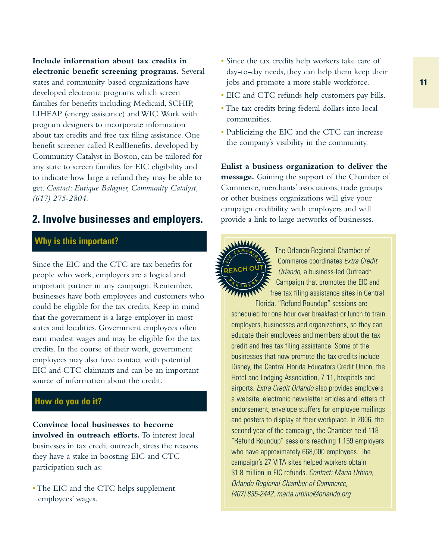**Include information about tax credits in electronic benefit screening programs.** Several states and community-based organizations have developed electronic programs which screen families for benefits including Medicaid, SCHIP, LIHEAP (energy assistance) and WIC.Work with program designers to incorporate information about tax credits and free tax filing assistance. One benefit screener called RealBenefits, developed by Community Catalyst in Boston, can be tailored for any state to screen families for EIC eligibility and to indicate how large a refund they may be able to get. *Contact: Enrique Balaguer, Community Catalyst, (617) 275-2804.*

## **2. Involve businesses and employers.**

## **Why is this important?**

Since the EIC and the CTC are tax benefits for people who work, employers are a logical and important partner in any campaign. Remember, businesses have both employees and customers who could be eligible for the tax credits. Keep in mind that the government is a large employer in most states and localities. Government employees often earn modest wages and may be eligible for the tax credits. In the course of their work, government employees may also have contact with potential EIC and CTC claimants and can be an important source of information about the credit.

## **How do you do it?**

**Convince local businesses to become involved in outreach efforts.** To interest local businesses in tax credit outreach, stress the reasons they have a stake in boosting EIC and CTC participation such as:

•The EIC and the CTC helps supplement employees' wages.

- Since the tax credits help workers take care of day-to-day needs, they can help them keep their jobs and promote a more stable workforce.
- EIC and CTC refunds help customers pay bills.
- •The tax credits bring federal dollars into local communities.
- Publicizing the EIC and the CTC can increase the company's visibility in the community.

**Enlist a business organization to deliver the message.** Gaining the support of the Chamber of Commerce, merchants' associations, trade groups or other business organizations will give your campaign credibility with employers and will provide a link to large networks of businesses.



The Orlando Regional Chamber of Commerce coordinates Extra Credit Orlando, a business-led Outreach Campaign that promotes the EIC and free tax filing assistance sites in Central Florida. "Refund Roundup" sessions are

scheduled for one hour over breakfast or lunch to train employers, businesses and organizations, so they can educate their employees and members about the tax credit and free tax filing assistance. Some of the businesses that now promote the tax credits include Disney, the Central Florida Educators Credit Union, the Hotel and Lodging Association, 7-11, hospitals and airports. Extra Credit Orlando also provides employers a website, electronic newsletter articles and letters of endorsement, envelope stuffers for employee mailings and posters to display at their workplace. In 2006, the second year of the campaign, the Chamber held 118 "Refund Roundup" sessions reaching 1,159 employers who have approximately 668,000 employees. The campaign's 27 VITA sites helped workers obtain \$1.8 million in EIC refunds. Contact: Maria Urbino, Orlando Regional Chamber of Commerce, (407) 835-2442, maria.urbino@orlando.org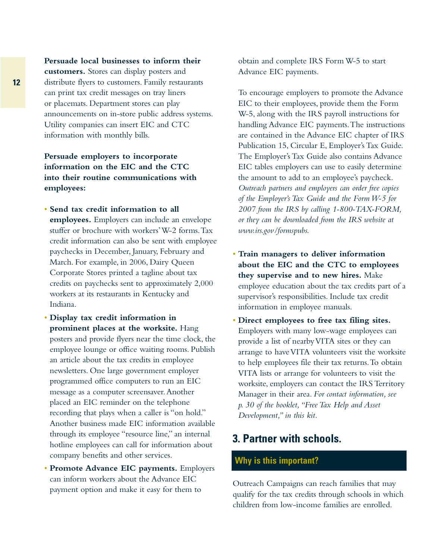**Persuade local businesses to inform their customers.** Stores can display posters and distribute flyers to customers. Family restaurants can print tax credit messages on tray liners or placemats. Department stores can play announcements on in-store public address systems. Utility companies can insert EIC and CTC information with monthly bills.

**Persuade employers to incorporate information on the EIC and the CTC into their routine communications with employees:**

- **Send tax credit information to all employees.** Employers can include an envelope stuffer or brochure with workers'W-2 forms.Tax credit information can also be sent with employee paychecks in December, January, February and March. For example, in 2006, Dairy Queen Corporate Stores printed a tagline about tax credits on paychecks sent to approximately 2,000 workers at its restaurants in Kentucky and Indiana.
- **Display tax credit information in prominent places at the worksite.** Hang posters and provide flyers near the time clock, the employee lounge or office waiting rooms. Publish an article about the tax credits in employee newsletters. One large government employer programmed office computers to run an EIC message as a computer screensaver.Another placed an EIC reminder on the telephone recording that plays when a caller is "on hold." Another business made EIC information available through its employee "resource line," an internal hotline employees can call for information about company benefits and other services.
- **Promote Advance EIC payments.** Employers can inform workers about the Advance EIC payment option and make it easy for them to

obtain and complete IRS Form W-5 to start Advance EIC payments.

To encourage employers to promote the Advance EIC to their employees, provide them the Form W-5, along with the IRS payroll instructions for handling Advance EIC payments.The instructions are contained in the Advance EIC chapter of IRS Publication 15, Circular E, Employer's Tax Guide. The Employer's Tax Guide also contains Advance EIC tables employers can use to easily determine the amount to add to an employee's paycheck. *Outreach partners and employers can order free copies of the Employer's Tax Guide and the Form W-5 for 2007 from the IRS by calling 1-800-TAX-FORM, or they can be downloaded from the IRS website at www.irs.gov/formspubs.*

- **Train managers to deliver information about the EIC and the CTC to employees they supervise and to new hires.** Make employee education about the tax credits part of a supervisor's responsibilities. Include tax credit information in employee manuals.
- **Direct employees to free tax filing sites.** Employers with many low-wage employees can provide a list of nearby VITA sites or they can arrange to have VITA volunteers visit the worksite to help employees file their tax returns.To obtain VITA lists or arrange for volunteers to visit the worksite, employers can contact the IRS Territory Manager in their area. *For contact information, see p. 30 of the booklet,"Free Tax Help and Asset Development," in this kit.*

# **3. Partner with schools.**

### **Why is this important?**

Outreach Campaigns can reach families that may qualify for the tax credits through schools in which children from low-income families are enrolled.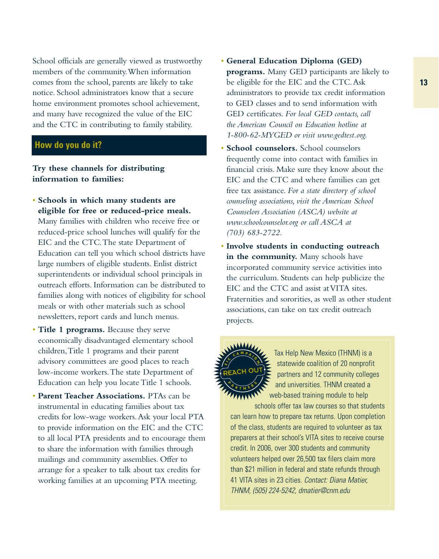School officials are generally viewed as trustworthy members of the community.When information comes from the school, parents are likely to take notice. School administrators know that a secure home environment promotes school achievement, and many have recognized the value of the EIC and the CTC in contributing to family stability.

### **How do you do it?**

**Try these channels for distributing information to families:**

- **Schools in which many students are eligible for free or reduced-price meals.** Many families with children who receive free or reduced-price school lunches will qualify for the EIC and the CTC.The state Department of Education can tell you which school districts have large numbers of eligible students. Enlist district superintendents or individual school principals in outreach efforts. Information can be distributed to families along with notices of eligibility for school meals or with other materials such as school newsletters, report cards and lunch menus.
- **Title 1 programs.** Because they serve economically disadvantaged elementary school children,Title 1 programs and their parent advisory committees are good places to reach low-income workers.The state Department of Education can help you locate Title 1 schools.
- **Parent Teacher Associations.** PTAs can be instrumental in educating families about tax credits for low-wage workers.Ask your local PTA to provide information on the EIC and the CTC to all local PTA presidents and to encourage them to share the information with families through mailings and community assemblies. Offer to arrange for a speaker to talk about tax credits for working families at an upcoming PTA meeting.
- **General Education Diploma (GED) programs.** Many GED participants are likely to be eligible for the EIC and the CTC.Ask administrators to provide tax credit information to GED classes and to send information with GED certificates. *For local GED contacts, call the American Council on Education hotline at 1-800-62-MYGED or visit www.gedtest.org.*
- **School counselors.** School counselors frequently come into contact with families in financial crisis. Make sure they know about the EIC and the CTC and where families can get free tax assistance. *For a state directory of school counseling associations, visit the American School Counselors Association (ASCA) website at www.schoolcounselor.org or call ASCA at (703) 683-2722.*
- **Involve students in conducting outreach in the community.** Many schools have incorporated community service activities into the curriculum. Students can help publicize the EIC and the CTC and assist at VITA sites. Fraternities and sororities, as well as other student associations, can take on tax credit outreach projects.



Tax Help New Mexico (THNM) is a statewide coalition of 20 nonprofit partners and 12 community colleges and universities. THNM created a web-based training module to help

schools offer tax law courses so that students can learn how to prepare tax returns. Upon completion of the class, students are required to volunteer as tax preparers at their school's VITA sites to receive course credit. In 2006, over 300 students and community volunteers helped over 26,500 tax filers claim more than \$21 million in federal and state refunds through 41 VITA sites in 23 cities. Contact: Diana Matier, THNM, (505) 224-5242, dmatier@cnm.edu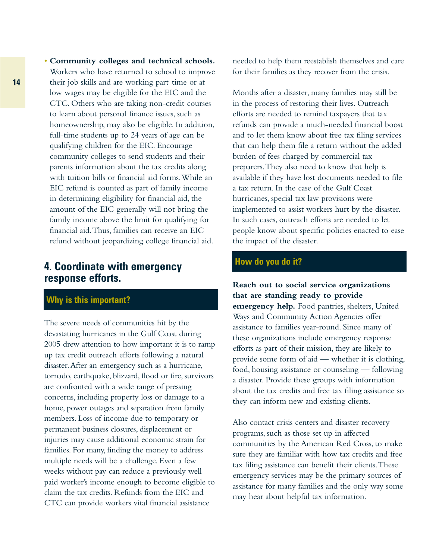• **Community colleges and technical schools.** Workers who have returned to school to improve their job skills and are working part-time or at low wages may be eligible for the EIC and the CTC. Others who are taking non-credit courses to learn about personal finance issues, such as homeownership, may also be eligible. In addition, full-time students up to 24 years of age can be qualifying children for the EIC. Encourage community colleges to send students and their parents information about the tax credits along with tuition bills or financial aid forms.While an EIC refund is counted as part of family income in determining eligibility for financial aid, the amount of the EIC generally will not bring the family income above the limit for qualifying for financial aid.Thus, families can receive an EIC

refund without jeopardizing college financial aid.

## **4. Coordinate with emergency response efforts.**

### **Why is this important?**

The severe needs of communities hit by the devastating hurricanes in the Gulf Coast during 2005 drew attention to how important it is to ramp up tax credit outreach efforts following a natural disaster.After an emergency such as a hurricane, tornado, earthquake, blizzard, flood or fire, survivors are confronted with a wide range of pressing concerns, including property loss or damage to a home, power outages and separation from family members. Loss of income due to temporary or permanent business closures, displacement or injuries may cause additional economic strain for families. For many, finding the money to address multiple needs will be a challenge. Even a few weeks without pay can reduce a previously wellpaid worker's income enough to become eligible to claim the tax credits. Refunds from the EIC and CTC can provide workers vital financial assistance

needed to help them reestablish themselves and care for their families as they recover from the crisis.

Months after a disaster, many families may still be in the process of restoring their lives. Outreach efforts are needed to remind taxpayers that tax refunds can provide a much-needed financial boost and to let them know about free tax filing services that can help them file a return without the added burden of fees charged by commercial tax preparers.They also need to know that help is available if they have lost documents needed to file a tax return. In the case of the Gulf Coast hurricanes, special tax law provisions were implemented to assist workers hurt by the disaster. In such cases, outreach efforts are needed to let people know about specific policies enacted to ease the impact of the disaster.

#### **How do you do it?**

**Reach out to social service organizations that are standing ready to provide emergency help.** Food pantries, shelters, United Ways and Community Action Agencies offer assistance to families year-round. Since many of these organizations include emergency response efforts as part of their mission, they are likely to provide some form of aid — whether it is clothing, food, housing assistance or counseling — following a disaster. Provide these groups with information about the tax credits and free tax filing assistance so they can inform new and existing clients.

Also contact crisis centers and disaster recovery programs, such as those set up in affected communities by the American Red Cross, to make sure they are familiar with how tax credits and free tax filing assistance can benefit their clients.These emergency services may be the primary sources of assistance for many families and the only way some may hear about helpful tax information.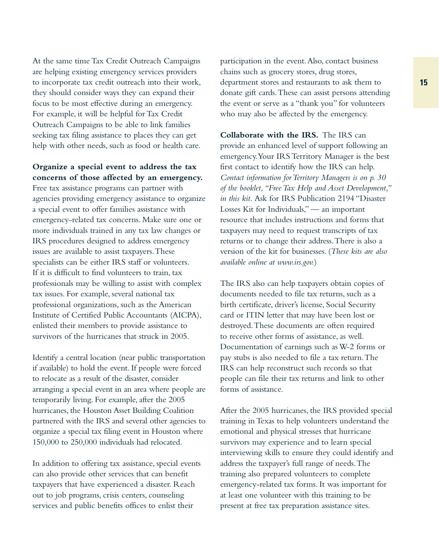At the same time Tax Credit Outreach Campaigns are helping existing emergency services providers to incorporate tax credit outreach into their work, they should consider ways they can expand their focus to be most effective during an emergency. For example, it will be helpful for Tax Credit Outreach Campaigns to be able to link families seeking tax filing assistance to places they can get help with other needs, such as food or health care.

#### **Organize a special event to address the tax concerns of those affected by an emergency.**

Free tax assistance programs can partner with agencies providing emergency assistance to organize a special event to offer families assistance with emergency-related tax concerns. Make sure one or more individuals trained in any tax law changes or IRS procedures designed to address emergency issues are available to assist taxpayers.These specialists can be either IRS staff or volunteers. If it is difficult to find volunteers to train, tax professionals may be willing to assist with complex tax issues. For example, several national tax professional organizations, such as the American Institute of Certified Public Accountants (AICPA), enlisted their members to provide assistance to survivors of the hurricanes that struck in 2005.

Identify a central location (near public transportation if available) to hold the event. If people were forced to relocate as a result of the disaster, consider arranging a special event in an area where people are temporarily living. For example, after the 2005 hurricanes, the Houston Asset Building Coalition partnered with the IRS and several other agencies to organize a special tax filing event in Houston where 150,000 to 250,000 individuals had relocated.

In addition to offering tax assistance, special events can also provide other services that can benefit taxpayers that have experienced a disaster. Reach out to job programs, crisis centers, counseling services and public benefits offices to enlist their

participation in the event.Also, contact business chains such as grocery stores, drug stores, department stores and restaurants to ask them to donate gift cards.These can assist persons attending the event or serve as a "thank you" for volunteers who may also be affected by the emergency.

**Collaborate with the IRS.** The IRS can provide an enhanced level of support following an emergency.Your IRS Territory Manager is the best first contact to identify how the IRS can help. *Contact information for Territory Managers is on p. 30 of the booklet,"Free Tax Help and Asset Development," in this kit.* Ask for IRS Publication 2194 "Disaster Losses Kit for Individuals," — an important resource that includes instructions and forms that taxpayers may need to request transcripts of tax returns or to change their address.There is also a version of the kit for businesses. (*These kits are also available online at www.irs.gov.*)

The IRS also can help taxpayers obtain copies of documents needed to file tax returns, such as a birth certificate, driver's license, Social Security card or ITIN letter that may have been lost or destroyed.These documents are often required to receive other forms of assistance, as well. Documentation of earnings such as W-2 forms or pay stubs is also needed to file a tax return.The IRS can help reconstruct such records so that people can file their tax returns and link to other forms of assistance.

After the 2005 hurricanes, the IRS provided special training in Texas to help volunteers understand the emotional and physical stresses that hurricane survivors may experience and to learn special interviewing skills to ensure they could identify and address the taxpayer's full range of needs.The training also prepared volunteers to complete emergency-related tax forms. It was important for at least one volunteer with this training to be present at free tax preparation assistance sites.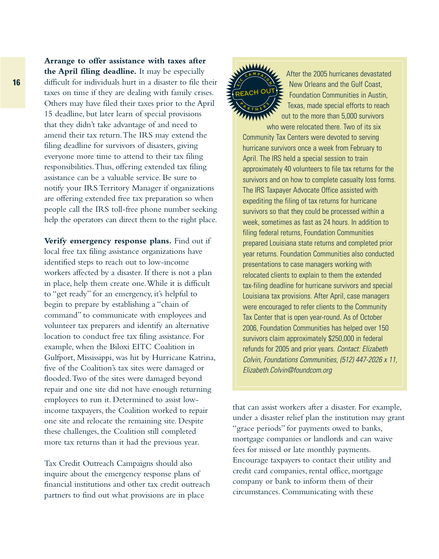**Arrange to offer assistance with taxes after the April filing deadline.** It may be especially difficult for individuals hurt in a disaster to file their taxes on time if they are dealing with family crises. Others may have filed their taxes prior to the April 15 deadline, but later learn of special provisions that they didn't take advantage of and need to amend their tax return.The IRS may extend the filing deadline for survivors of disasters, giving everyone more time to attend to their tax filing responsibilities.Thus, offering extended tax filing assistance can be a valuable service. Be sure to notify your IRS Territory Manager if organizations are offering extended free tax preparation so when people call the IRS toll-free phone number seeking help the operators can direct them to the right place.

**Verify emergency response plans.** Find out if local free tax filing assistance organizations have identified steps to reach out to low-income workers affected by a disaster. If there is not a plan in place, help them create one.While it is difficult to "get ready" for an emergency, it's helpful to begin to prepare by establishing a "chain of command" to communicate with employees and volunteer tax preparers and identify an alternative location to conduct free tax filing assistance. For example, when the Biloxi EITC Coalition in Gulfport, Mississippi, was hit by Hurricane Katrina, five of the Coalition's tax sites were damaged or flooded.Two of the sites were damaged beyond repair and one site did not have enough returning employees to run it. Determined to assist lowincome taxpayers, the Coalition worked to repair one site and relocate the remaining site. Despite these challenges, the Coalition still completed more tax returns than it had the previous year.

Tax Credit Outreach Campaigns should also inquire about the emergency response plans of financial institutions and other tax credit outreach partners to find out what provisions are in place



After the 2005 hurricanes devastated New Orleans and the Gulf Coast, Foundation Communities in Austin, Texas, made special efforts to reach out to the more than 5,000 survivors

who were relocated there. Two of its six Community Tax Centers were devoted to serving hurricane survivors once a week from February to April. The IRS held a special session to train approximately 40 volunteers to file tax returns for the survivors and on how to complete casualty loss forms. The IRS Taxpayer Advocate Office assisted with expediting the filing of tax returns for hurricane survivors so that they could be processed within a week, sometimes as fast as 24 hours. In addition to filing federal returns, Foundation Communities prepared Louisiana state returns and completed prior year returns. Foundation Communities also conducted presentations to case managers working with relocated clients to explain to them the extended tax-filing deadline for hurricane survivors and special Louisiana tax provisions. After April, case managers were encouraged to refer clients to the Community Tax Center that is open year-round. As of October 2006, Foundation Communities has helped over 150 survivors claim approximately \$250,000 in federal refunds for 2005 and prior years. Contact: Elizabeth Colvin, Foundations Communities, (512) 447-2026 x 11, Elizabeth.Colvin@foundcom.org

that can assist workers after a disaster. For example, under a disaster relief plan the institution may grant "grace periods" for payments owed to banks, mortgage companies or landlords and can waive fees for missed or late monthly payments. Encourage taxpayers to contact their utility and credit card companies, rental office, mortgage company or bank to inform them of their circumstances. Communicating with these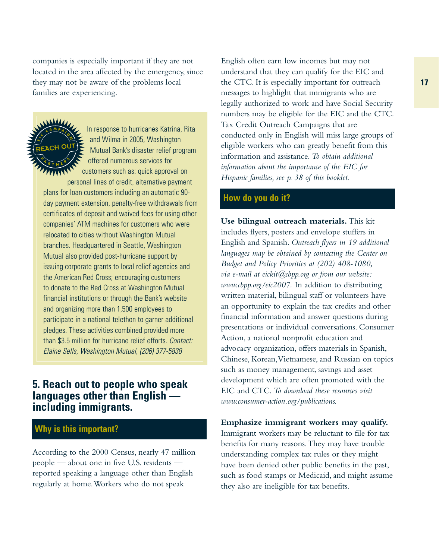companies is especially important if they are not located in the area affected by the emergency, since they may not be aware of the problems local families are experiencing.



In response to hurricanes Katrina, Rita and Wilma in 2005, Washington Mutual Bank's disaster relief program offered numerous services for customers such as: quick approval on

personal lines of credit, alternative payment plans for loan customers including an automatic 90 day payment extension, penalty-free withdrawals from certificates of deposit and waived fees for using other companies' ATM machines for customers who were relocated to cities without Washington Mutual branches. Headquartered in Seattle, Washington Mutual also provided post-hurricane support by issuing corporate grants to local relief agencies and the American Red Cross; encouraging customers to donate to the Red Cross at Washington Mutual financial institutions or through the Bank's website and organizing more than 1,500 employees to participate in a national telethon to garner additional pledges. These activities combined provided more than \$3.5 million for hurricane relief efforts. Contact: Elaine Sells, Washington Mutual, (206) 377-5838

## **5. Reach out to people who speak languages other than English including immigrants.**

## **Why is this important?**

According to the 2000 Census, nearly 47 million people — about one in five U.S. residents reported speaking a language other than English regularly at home.Workers who do not speak

English often earn low incomes but may not understand that they can qualify for the EIC and the CTC. It is especially important for outreach messages to highlight that immigrants who are legally authorized to work and have Social Security numbers may be eligible for the EIC and the CTC. Tax Credit Outreach Campaigns that are conducted only in English will miss large groups of eligible workers who can greatly benefit from this information and assistance. *To obtain additional information about the importance of the EIC for Hispanic families, see p. 38 of this booklet.*

### **How do you do it?**

**Use bilingual outreach materials.** This kit includes flyers, posters and envelope stuffers in English and Spanish. *Outreach flyers in 19 additional languages may be obtained by contacting the Center on Budget and Policy Priorities at (202) 408-1080, via e-mail at eickit@cbpp.org or from our website: www.cbpp.org/eic2007.* In addition to distributing written material, bilingual staff or volunteers have an opportunity to explain the tax credits and other financial information and answer questions during presentations or individual conversations. Consumer Action, a national nonprofit education and advocacy organization, offers materials in Spanish, Chinese, Korean,Vietnamese, and Russian on topics such as money management, savings and asset development which are often promoted with the EIC and CTC. *To download these resources visit www.consumer-action.org/publications.*

#### **Emphasize immigrant workers may qualify.**

Immigrant workers may be reluctant to file for tax benefits for many reasons.They may have trouble understanding complex tax rules or they might have been denied other public benefits in the past, such as food stamps or Medicaid, and might assume they also are ineligible for tax benefits.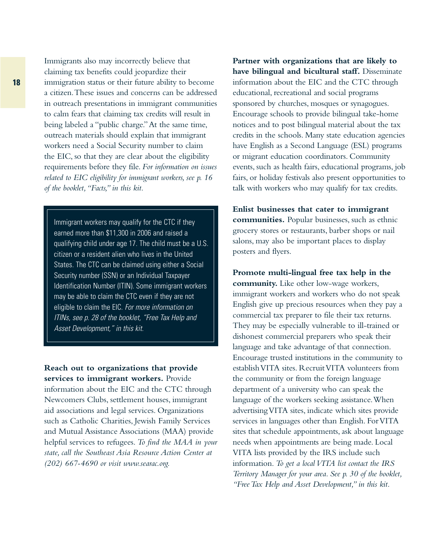Immigrants also may incorrectly believe that claiming tax benefits could jeopardize their immigration status or their future ability to become a citizen.These issues and concerns can be addressed in outreach presentations in immigrant communities to calm fears that claiming tax credits will result in being labeled a "public charge."At the same time, outreach materials should explain that immigrant workers need a Social Security number to claim the EIC, so that they are clear about the eligibility requirements before they file. *For information on issues related to EIC eligibility for immigrant workers, see p. 16 of the booklet,"Facts," in this kit.*

Immigrant workers may qualify for the CTC if they earned more than \$11,300 in 2006 and raised a qualifying child under age 17. The child must be a U.S. citizen or a resident alien who lives in the United States. The CTC can be claimed using either a Social Security number (SSN) or an Individual Taxpayer Identification Number (ITIN). Some immigrant workers may be able to claim the CTC even if they are not eligible to claim the EIC. For more information on ITINs, see p. 28 of the booklet, "Free Tax Help and Asset Development," in this kit.

**Reach out to organizations that provide services to immigrant workers.** Provide information about the EIC and the CTC through Newcomers Clubs, settlement houses, immigrant aid associations and legal services. Organizations such as Catholic Charities, Jewish Family Services and Mutual Assistance Associations (MAA) provide helpful services to refugees. *To find the MAA in your state, call the Southeast Asia Resource Action Center at (202) 667-4690 or visit www.searac.org.*

**Partner with organizations that are likely to have bilingual and bicultural staff.** Disseminate information about the EIC and the CTC through educational, recreational and social programs sponsored by churches, mosques or synagogues. Encourage schools to provide bilingual take-home notices and to post bilingual material about the tax credits in the schools. Many state education agencies have English as a Second Language (ESL) programs or migrant education coordinators. Community events, such as health fairs, educational programs, job fairs, or holiday festivals also present opportunities to talk with workers who may qualify for tax credits.

**Enlist businesses that cater to immigrant communities.** Popular businesses, such as ethnic grocery stores or restaurants, barber shops or nail salons, may also be important places to display posters and flyers.

**Promote multi-lingual free tax help in the community.** Like other low-wage workers, immigrant workers and workers who do not speak English give up precious resources when they pay a commercial tax preparer to file their tax returns. They may be especially vulnerable to ill-trained or dishonest commercial preparers who speak their language and take advantage of that connection. Encourage trusted institutions in the community to establish VITA sites. Recruit VITA volunteers from the community or from the foreign language department of a university who can speak the language of the workers seeking assistance.When advertising VITA sites, indicate which sites provide services in languages other than English. For VITA sites that schedule appointments, ask about language needs when appointments are being made. Local VITA lists provided by the IRS include such information. *To get a local VITA list contact the IRS Territory Manager for your area. See p. 30 of the booklet, "Free Tax Help and Asset Development," in this kit.*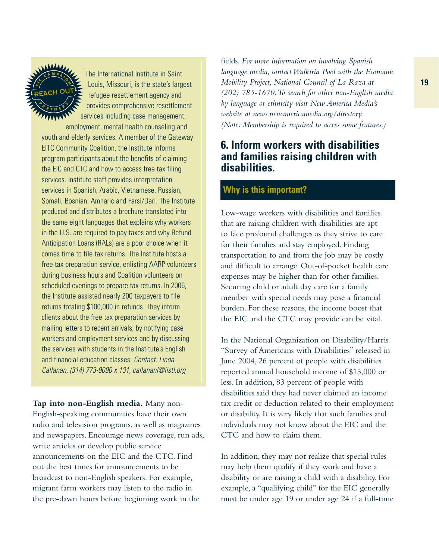

The International Institute in Saint Louis, Missouri, is the state's largest refugee resettlement agency and provides comprehensive resettlement services including case management,

employment, mental health counseling and youth and elderly services. A member of the Gateway EITC Community Coalition, the Institute informs program participants about the benefits of claiming the EIC and CTC and how to access free tax filing services. Institute staff provides interpretation services in Spanish, Arabic, Vietnamese, Russian, Somali, Bosnian, Amharic and Farsi/Dari. The Institute produced and distributes a brochure translated into the same eight languages that explains why workers in the U.S. are required to pay taxes and why Refund Anticipation Loans (RALs) are a poor choice when it comes time to file tax returns. The Institute hosts a free tax preparation service, enlisting AARP volunteers during business hours and Coalition volunteers on scheduled evenings to prepare tax returns. In 2006, the Institute assisted nearly 200 taxpayers to file returns totaling \$100,000 in refunds. They inform clients about the free tax preparation services by mailing letters to recent arrivals, by notifying case workers and employment services and by discussing the services with students in the Institute's English and financial education classes. Contact: Linda Callanan, (314) 773-9090 x 131, callananl@iistl.org

**Tap into non-English media.** Many non-English-speaking communities have their own radio and television programs, as well as magazines and newspapers. Encourage news coverage, run ads, write articles or develop public service announcements on the EIC and the CTC. Find out the best times for announcements to be broadcast to non-English speakers. For example, migrant farm workers may listen to the radio in the pre-dawn hours before beginning work in the

fields. *For more information on involving Spanish language media, contact Walkiria Pool with the Economic Mobility Project, National Council of La Raza at (202) 785-1670.To search for other non-English media by language or ethnicity visit New America Media's website at news.newamericamedia.org/directory. (Note: Membership is required to access some features.)*

## **6. Inform workers with disabilities and families raising children with disabilities.**

## **Why is this important?**

Low-wage workers with disabilities and families that are raising children with disabilities are apt to face profound challenges as they strive to care for their families and stay employed. Finding transportation to and from the job may be costly and difficult to arrange. Out-of-pocket health care expenses may be higher than for other families. Securing child or adult day care for a family member with special needs may pose a financial burden. For these reasons, the income boost that the EIC and the CTC may provide can be vital.

In the National Organization on Disability/Harris "Survey of Americans with Disabilities" released in June 2004, 26 percent of people with disabilities reported annual household income of \$15,000 or less. In addition, 83 percent of people with disabilities said they had never claimed an income tax credit or deduction related to their employment or disability. It is very likely that such families and individuals may not know about the EIC and the CTC and how to claim them.

In addition, they may not realize that special rules may help them qualify if they work and have a disability or are raising a child with a disability. For example, a "qualifying child" for the EIC generally must be under age 19 or under age 24 if a full-time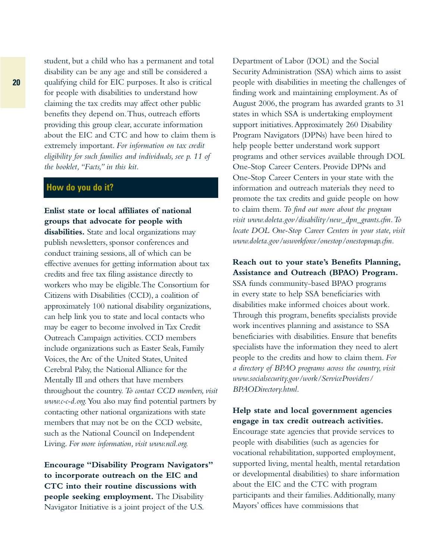student, but a child who has a permanent and total disability can be any age and still be considered a qualifying child for EIC purposes. It also is critical for people with disabilities to understand how claiming the tax credits may affect other public benefits they depend on.Thus, outreach efforts providing this group clear, accurate information about the EIC and CTC and how to claim them is extremely important. *For information on tax credit eligibility for such families and individuals, see p. 11 of the booklet,"Facts," in this kit.*

#### **How do you do it?**

### **Enlist state or local affiliates of national groups that advocate for people with**

**disabilities.** State and local organizations may publish newsletters, sponsor conferences and conduct training sessions, all of which can be effective avenues for getting information about tax credits and free tax filing assistance directly to workers who may be eligible.The Consortium for Citizens with Disabilities (CCD), a coalition of approximately 100 national disability organizations, can help link you to state and local contacts who may be eager to become involved in Tax Credit Outreach Campaign activities. CCD members include organizations such as Easter Seals, Family Voices, the Arc of the United States, United Cerebral Palsy, the National Alliance for the Mentally Ill and others that have members throughout the country. *To contact CCD members, visit www.c-c-d.org.*You also may find potential partners by contacting other national organizations with state members that may not be on the CCD website, such as the National Council on Independent Living. *For more information, visit www.ncil.org.*

**Encourage "Disability Program Navigators" to incorporate outreach on the EIC and CTC into their routine discussions with people seeking employment.** The Disability Navigator Initiative is a joint project of the U.S.

Department of Labor (DOL) and the Social Security Administration (SSA) which aims to assist people with disabilities in meeting the challenges of finding work and maintaining employment.As of August 2006, the program has awarded grants to 31 states in which SSA is undertaking employment support initiatives. Approximately 260 Disability Program Navigators (DPNs) have been hired to help people better understand work support programs and other services available through DOL One-Stop Career Centers. Provide DPNs and One-Stop Career Centers in your state with the information and outreach materials they need to promote the tax credits and guide people on how to claim them. *To find out more about the program visit www.doleta.gov/disability/new\_dpn\_grants.cfm.To locate DOL One-Stop Career Centers in your state, visit www.doleta.gov/usworkforce/onestop/onestopmap.cfm.*

#### **Reach out to your state's Benefits Planning, Assistance and Outreach (BPAO) Program.**

SSA funds community-based BPAO programs in every state to help SSA beneficiaries with disabilities make informed choices about work. Through this program, benefits specialists provide work incentives planning and assistance to SSA beneficiaries with disabilities. Ensure that benefits specialists have the information they need to alert people to the credits and how to claim them. *For a directory of BPAO programs across the country, visit www.socialsecurity.gov/work/ServiceProviders/ BPAODirectory.html.*

#### **Help state and local government agencies engage in tax credit outreach activities.**

Encourage state agencies that provide services to people with disabilities (such as agencies for vocational rehabilitation, supported employment, supported living, mental health, mental retardation or developmental disabilities) to share information about the EIC and the CTC with program participants and their families.Additionally, many Mayors' offices have commissions that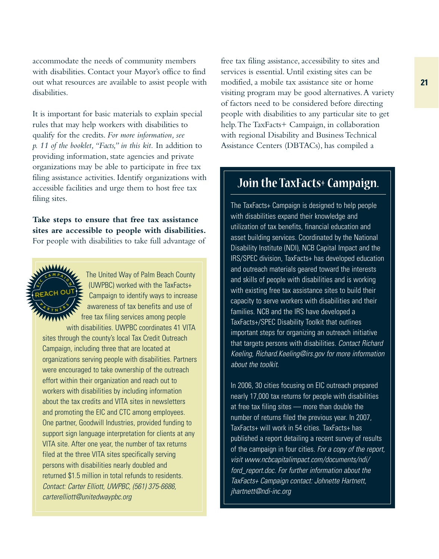accommodate the needs of community members with disabilities. Contact your Mayor's office to find out what resources are available to assist people with disabilities.

It is important for basic materials to explain special rules that may help workers with disabilities to qualify for the credits. *For more information, see p. 11 of the booklet,"Facts," in this kit.* In addition to providing information, state agencies and private organizations may be able to participate in free tax filing assistance activities. Identify organizations with accessible facilities and urge them to host free tax filing sites.

**Take steps to ensure that free tax assistance sites are accessible to people with disabilities.** For people with disabilities to take full advantage of



The United Way of Palm Beach County (UWPBC) worked with the TaxFacts+ Campaign to identify ways to increase awareness of tax benefits and use of free tax filing services among people with disabilities. UWPBC coordinates 41 VITA

sites through the county's local Tax Credit Outreach Campaign, including three that are located at organizations serving people with disabilities. Partners were encouraged to take ownership of the outreach effort within their organization and reach out to workers with disabilities by including information about the tax credits and VITA sites in newsletters and promoting the EIC and CTC among employees. One partner, Goodwill Industries, provided funding to support sign language interpretation for clients at any VITA site. After one year, the number of tax returns filed at the three VITA sites specifically serving persons with disabilities nearly doubled and returned \$1.5 million in total refunds to residents. Contact: Carter Elliott, UWPBC, (561) 375-6686, carterelliott@unitedwaypbc.org

free tax filing assistance, accessibility to sites and services is essential. Until existing sites can be modified, a mobile tax assistance site or home visiting program may be good alternatives.A variety of factors need to be considered before directing people with disabilities to any particular site to get help.The TaxFacts+ Campaign, in collaboration with regional Disability and Business Technical Assistance Centers (DBTACs), has compiled a

# **Join the TaxFacts+ Campaign.**

The TaxFacts+ Campaign is designed to help people with disabilities expand their knowledge and utilization of tax benefits, financial education and asset building services. Coordinated by the National Disability Institute (NDI), NCB Capital Impact and the IRS/SPEC division, TaxFacts+ has developed education and outreach materials geared toward the interests and skills of people with disabilities and is working with existing free tax assistance sites to build their capacity to serve workers with disabilities and their families. NCB and the IRS have developed a TaxFacts+/SPEC Disability Toolkit that outlines important steps for organizing an outreach initiative that targets persons with disabilities. Contact Richard Keeling, Richard.Keeling@irs.gov for more information about the toolkit.

In 2006, 30 cities focusing on EIC outreach prepared nearly 17,000 tax returns for people with disabilities at free tax filing sites — more than double the number of returns filed the previous year. In 2007, TaxFacts+ will work in 54 cities. TaxFacts+ has published a report detailing a recent survey of results of the campaign in four cities. For a copy of the report, visit www.ncbcapitalimpact.com/documents/ndi/ ford report.doc. For further information about the TaxFacts+ Campaign contact: Johnette Hartnett, jhartnett@ndi-inc.org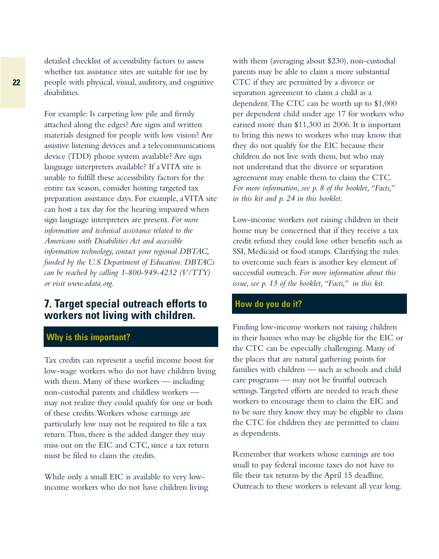detailed checklist of accessibility factors to assess whether tax assistance sites are suitable for use by people with physical, visual, auditory, and cognitive disabilities.

For example: Is carpeting low pile and firmly attached along the edges? Are signs and written materials designed for people with low vision? Are assistive listening devices and a telecommunications device (TDD) phone system available? Are sign language interpreters available? If a VITA site is unable to fulfill these accessibility factors for the entire tax season, consider hosting targeted tax preparation assistance days. For example, a VITA site can host a tax day for the hearing impaired when sign language interpreters are present. *For more information and technical assistance related to the Americans with Disabilities Act and accessible information technology, contact your regional DBTAC, funded by the U.S Department of Education. DBTACs can be reached by calling 1-800-949-4232 (V/TTY) or visit www.adata.org.*

## **7. Target special outreach efforts to workers not living with children.**

### **Why is this important?**

Tax credits can represent a useful income boost for low-wage workers who do not have children living with them. Many of these workers — including non-custodial parents and childless workers may not realize they could qualify for one or both of these credits.Workers whose earnings are particularly low may not be required to file a tax return.Thus, there is the added danger they may miss out on the EIC and CTC, since a tax return must be filed to claim the credits.

While only a small EIC is available to very lowincome workers who do not have children living with them (averaging about \$230), non-custodial parents may be able to claim a more substantial CTC if they are permitted by a divorce or separation agreement to claim a child as a dependent.The CTC can be worth up to \$1,000 per dependent child under age 17 for workers who earned more than \$11,300 in 2006. It is important to bring this news to workers who may know that they do not qualify for the EIC because their children do not live with them, but who may not understand that the divorce or separation agreement may enable them to claim the CTC. *For more information, see p. 8 of the booklet,"Facts," in this kit and p. 24 in this booklet.*

Low-income workers not raising children in their home may be concerned that if they receive a tax credit refund they could lose other benefits such as SSI, Medicaid or food stamps. Clarifying the rules to overcome such fears is another key element of successful outreach. *For more information about this issue, see p. 13 of the booklet,"Facts," in this kit.*

#### **How do you do it?**

Finding low-income workers not raising children in their homes who may be eligible for the EIC or the CTC can be especially challenging. Many of the places that are natural gathering points for families with children — such as schools and child care programs — may not be fruitful outreach settings.Targeted efforts are needed to reach these workers to encourage them to claim the EIC and to be sure they know they may be eligible to claim the CTC for children they are permitted to claim as dependents.

Remember that workers whose earnings are too small to pay federal income taxes do not have to file their tax returns by the April 15 deadline. Outreach to these workers is relevant all year long.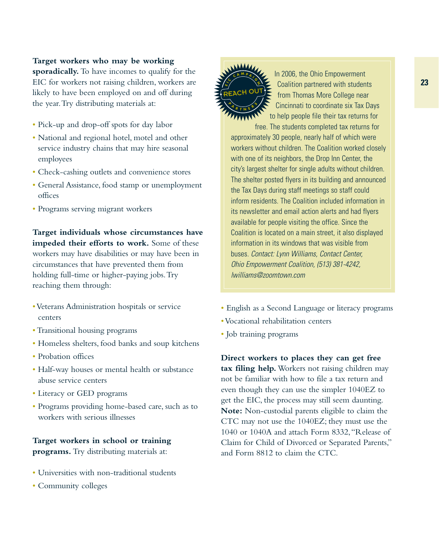#### **Target workers who may be working**

**sporadically.** To have incomes to qualify for the EIC for workers not raising children, workers are likely to have been employed on and off during the year.Try distributing materials at:

- Pick-up and drop-off spots for day labor
- National and regional hotel, motel and other service industry chains that may hire seasonal employees
- Check-cashing outlets and convenience stores
- General Assistance, food stamp or unemployment offices
- Programs serving migrant workers

**Target individuals whose circumstances have impeded their efforts to work.** Some of these workers may have disabilities or may have been in circumstances that have prevented them from holding full-time or higher-paying jobs.Try reaching them through:

- •Veterans Administration hospitals or service centers
- •Transitional housing programs
- Homeless shelters, food banks and soup kitchens
- Probation offices
- Half-way houses or mental health or substance abuse service centers
- Literacy or GED programs
- Programs providing home-based care, such as to workers with serious illnesses

#### **Target workers in school or training programs.** Try distributing materials at:

- Universities with non-traditional students
- Community colleges



In 2006, the Ohio Empowerment Coalition partnered with students from Thomas More College near Cincinnati to coordinate six Tax Days to help people file their tax returns for

free. The students completed tax returns for approximately 30 people, nearly half of which were workers without children. The Coalition worked closely with one of its neighbors, the Drop Inn Center, the city's largest shelter for single adults without children. The shelter posted flyers in its building and announced the Tax Days during staff meetings so staff could inform residents. The Coalition included information in its newsletter and email action alerts and had flyers available for people visiting the office. Since the Coalition is located on a main street, it also displayed information in its windows that was visible from buses. Contact: Lynn Williams, Contact Center, Ohio Empowerment Coalition, (513) 381-4242, lwilliams@zoomtown.com

- English as a Second Language or literacy programs
- •Vocational rehabilitation centers
- Job training programs

**Direct workers to places they can get free tax filing help.** Workers not raising children may not be familiar with how to file a tax return and even though they can use the simpler 1040EZ to get the EIC, the process may still seem daunting. **Note:** Non-custodial parents eligible to claim the CTC may not use the 1040EZ; they must use the 1040 or 1040A and attach Form 8332,"Release of Claim for Child of Divorced or Separated Parents," and Form 8812 to claim the CTC.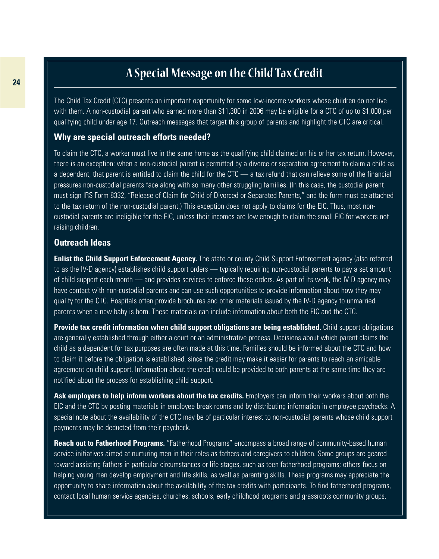# **<sup>24</sup> A Special Message on the Child Tax Credit**

The Child Tax Credit (CTC) presents an important opportunity for some low-income workers whose children do not live with them. A non-custodial parent who earned more than \$11,300 in 2006 may be eligible for a CTC of up to \$1,000 per qualifying child under age 17. Outreach messages that target this group of parents and highlight the CTC are critical.

#### **Why are special outreach efforts needed?**

To claim the CTC, a worker must live in the same home as the qualifying child claimed on his or her tax return. However, there is an exception: when a non-custodial parent is permitted by a divorce or separation agreement to claim a child as a dependent, that parent is entitled to claim the child for the CTC — a tax refund that can relieve some of the financial pressures non-custodial parents face along with so many other struggling families. (In this case, the custodial parent must sign IRS Form 8332, "Release of Claim for Child of Divorced or Separated Parents," and the form must be attached to the tax return of the non-custodial parent.) This exception does not apply to claims for the EIC. Thus, most noncustodial parents are ineligible for the EIC, unless their incomes are low enough to claim the small EIC for workers not raising children.

#### **Outreach Ideas**

**Enlist the Child Support Enforcement Agency.** The state or county Child Support Enforcement agency (also referred to as the IV-D agency) establishes child support orders — typically requiring non-custodial parents to pay a set amount of child support each month — and provides services to enforce these orders. As part of its work, the IV-D agency may have contact with non-custodial parents and can use such opportunities to provide information about how they may qualify for the CTC. Hospitals often provide brochures and other materials issued by the IV-D agency to unmarried parents when a new baby is born. These materials can include information about both the EIC and the CTC.

**Provide tax credit information when child support obligations are being established.** Child support obligations are generally established through either a court or an administrative process. Decisions about which parent claims the child as a dependent for tax purposes are often made at this time. Families should be informed about the CTC and how to claim it before the obligation is established, since the credit may make it easier for parents to reach an amicable agreement on child support. Information about the credit could be provided to both parents at the same time they are notified about the process for establishing child support.

Ask employers to help inform workers about the tax credits. Employers can inform their workers about both the EIC and the CTC by posting materials in employee break rooms and by distributing information in employee paychecks. A special note about the availability of the CTC may be of particular interest to non-custodial parents whose child support payments may be deducted from their paycheck.

**Reach out to Fatherhood Programs.** "Fatherhood Programs" encompass a broad range of community-based human service initiatives aimed at nurturing men in their roles as fathers and caregivers to children. Some groups are geared toward assisting fathers in particular circumstances or life stages, such as teen fatherhood programs; others focus on helping young men develop employment and life skills, as well as parenting skills. These programs may appreciate the opportunity to share information about the availability of the tax credits with participants. To find fatherhood programs, contact local human service agencies, churches, schools, early childhood programs and grassroots community groups.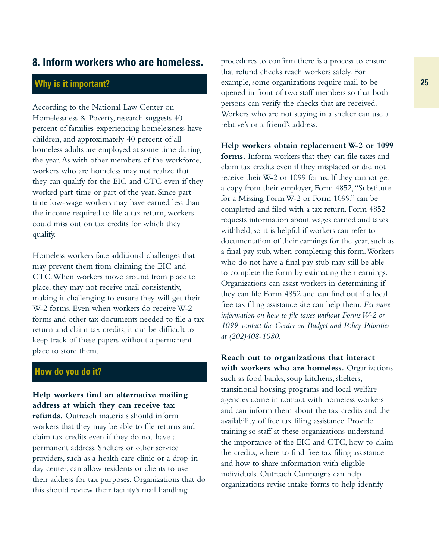### **8. Inform workers who are homeless.**

## **Why is it important?**

According to the National Law Center on Homelessness & Poverty, research suggests 40 percent of families experiencing homelessness have children, and approximately 40 percent of all homeless adults are employed at some time during the year.As with other members of the workforce, workers who are homeless may not realize that they can qualify for the EIC and CTC even if they worked part-time or part of the year. Since parttime low-wage workers may have earned less than the income required to file a tax return, workers could miss out on tax credits for which they qualify.

Homeless workers face additional challenges that may prevent them from claiming the EIC and CTC.When workers move around from place to place, they may not receive mail consistently, making it challenging to ensure they will get their W-2 forms. Even when workers do receive W-2 forms and other tax documents needed to file a tax return and claim tax credits, it can be difficult to keep track of these papers without a permanent place to store them.

### **How do you do it?**

**Help workers find an alternative mailing address at which they can receive tax refunds.** Outreach materials should inform workers that they may be able to file returns and claim tax credits even if they do not have a permanent address. Shelters or other service providers, such as a health care clinic or a drop-in day center, can allow residents or clients to use their address for tax purposes. Organizations that do this should review their facility's mail handling

procedures to confirm there is a process to ensure that refund checks reach workers safely. For example, some organizations require mail to be opened in front of two staff members so that both persons can verify the checks that are received. Workers who are not staying in a shelter can use a relative's or a friend's address.

**Help workers obtain replacement W-2 or 1099 forms.** Inform workers that they can file taxes and claim tax credits even if they misplaced or did not receive their W-2 or 1099 forms. If they cannot get a copy from their employer, Form 4852,"Substitute for a Missing Form W-2 or Form 1099," can be completed and filed with a tax return. Form 4852 requests information about wages earned and taxes withheld, so it is helpful if workers can refer to documentation of their earnings for the year, such as a final pay stub, when completing this form.Workers who do not have a final pay stub may still be able to complete the form by estimating their earnings. Organizations can assist workers in determining if they can file Form 4852 and can find out if a local free tax filing assistance site can help them. *For more information on how to file taxes without Forms W-2 or 1099, contact the Center on Budget and Policy Priorities at (202)408-1080.*

**Reach out to organizations that interact with workers who are homeless.** Organizations such as food banks, soup kitchens, shelters, transitional housing programs and local welfare agencies come in contact with homeless workers and can inform them about the tax credits and the availability of free tax filing assistance. Provide training so staff at these organizations understand the importance of the EIC and CTC, how to claim the credits, where to find free tax filing assistance and how to share information with eligible individuals. Outreach Campaigns can help organizations revise intake forms to help identify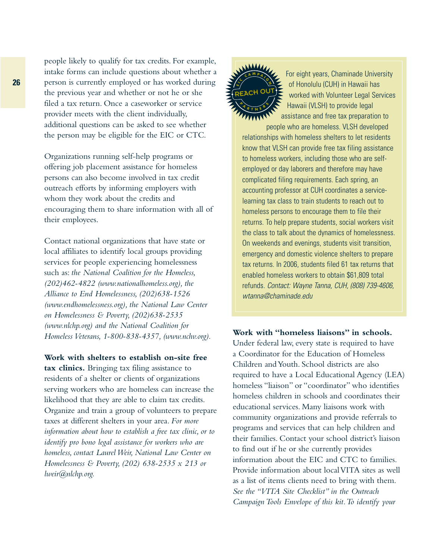people likely to qualify for tax credits. For example, intake forms can include questions about whether a person is currently employed or has worked during the previous year and whether or not he or she filed a tax return. Once a caseworker or service provider meets with the client individually, additional questions can be asked to see whether the person may be eligible for the EIC or CTC.

Organizations running self-help programs or offering job placement assistance for homeless persons can also become involved in tax credit outreach efforts by informing employers with whom they work about the credits and encouraging them to share information with all of their employees.

Contact national organizations that have state or local affiliates to identify local groups providing services for people experiencing homelessness such as: *the National Coalition for the Homeless, (202)462-4822 (www.nationalhomeless.org), the Alliance to End Homelessness, (202)638-1526 (www.endhomelessness.org), the National Law Center on Homelessness & Poverty, (202)638-2535 (www.nlchp.org) and the National Coalition for Homeless Veterans, 1-800-838-4357, (www.nchv.org).*

#### **Work with shelters to establish on-site free**

**tax clinics.** Bringing tax filing assistance to residents of a shelter or clients of organizations serving workers who are homeless can increase the likelihood that they are able to claim tax credits. Organize and train a group of volunteers to prepare taxes at different shelters in your area. *For more information about how to establish a free tax clinic, or to identify pro bono legal assistance for workers who are homeless, contact Laurel Weir, National Law Center on Homelessness & Poverty, (202) 638-2535 x 213 or lweir@nlchp.org.*



For eight years, Chaminade University of Honolulu (CUH) in Hawaii has worked with Volunteer Legal Services Hawaii (VLSH) to provide legal assistance and free tax preparation to

people who are homeless. VLSH developed relationships with homeless shelters to let residents know that VLSH can provide free tax filing assistance to homeless workers, including those who are selfemployed or day laborers and therefore may have complicated filing requirements. Each spring, an accounting professor at CUH coordinates a servicelearning tax class to train students to reach out to homeless persons to encourage them to file their returns. To help prepare students, social workers visit the class to talk about the dynamics of homelessness. On weekends and evenings, students visit transition, emergency and domestic violence shelters to prepare tax returns. In 2006, students filed 61 tax returns that enabled homeless workers to obtain \$61,809 total refunds. Contact: Wayne Tanna, CUH, (808) 739-4606, wtanna@chaminade.edu

#### **Work with "homeless liaisons" in schools.**

Under federal law, every state is required to have a Coordinator for the Education of Homeless Children and Youth. School districts are also required to have a Local Educational Agency (LEA) homeless "liaison" or "coordinator" who identifies homeless children in schools and coordinates their educational services. Many liaisons work with community organizations and provide referrals to programs and services that can help children and their families. Contact your school district's liaison to find out if he or she currently provides information about the EIC and CTC to families. Provide information about local VITA sites as well as a list of items clients need to bring with them. *See the "VITA Site Checklist" in the Outreach Campaign Tools Envelope of this kit.To identify your*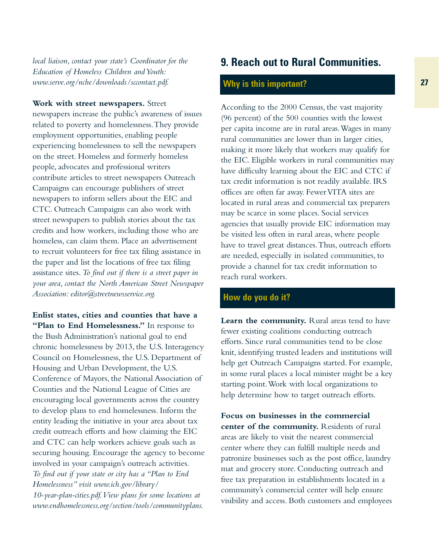*local liaison, contact your state's Coordinator for the Education of Homeless Children and Youth: www.serve.org/nche/downloads/sccontact.pdf.*

**Work with street newspapers.** Street

newspapers increase the public's awareness of issues related to poverty and homelessness.They provide employment opportunities, enabling people experiencing homelessness to sell the newspapers on the street. Homeless and formerly homeless people, advocates and professional writers contribute articles to street newspapers Outreach Campaigns can encourage publishers of street newspapers to inform sellers about the EIC and CTC. Outreach Campaigns can also work with street newspapers to publish stories about the tax credits and how workers, including those who are homeless, can claim them. Place an advertisement to recruit volunteers for free tax filing assistance in the paper and list the locations of free tax filing assistance sites.*To find out if there is a street paper in your area, contact the North American Street Newspaper Association: editor@streetnewsservice.org.*

**Enlist states, cities and counties that have a** "Plan to End Homelessness." In response to the Bush Administration's national goal to end chronic homelessness by 2013, the U.S. Interagency Council on Homelessness, the U.S. Department of Housing and Urban Development, the U.S. Conference of Mayors, the National Association of Counties and the National League of Cities are encouraging local governments across the country to develop plans to end homelessness. Inform the entity leading the initiative in your area about tax credit outreach efforts and how claiming the EIC and CTC can help workers achieve goals such as securing housing. Encourage the agency to become involved in your campaign's outreach activities. *To find out if your state or city has a "Plan to End Homelessness" visit www.ich.gov/library/ 10-year-plan-cities.pdf.View plans for some locations at www.endhomelessness.org/section/tools/communityplans.*

# **9. Reach out to Rural Communities.**

## **Why is this important?**

According to the 2000 Census, the vast majority (96 percent) of the 500 counties with the lowest per capita income are in rural areas.Wages in many rural communities are lower than in larger cities, making it more likely that workers may qualify for the EIC. Eligible workers in rural communities may have difficulty learning about the EIC and CTC if tax credit information is not readily available. IRS offices are often far away. Fewer VITA sites are located in rural areas and commercial tax preparers may be scarce in some places. Social services agencies that usually provide EIC information may be visited less often in rural areas, where people have to travel great distances.Thus, outreach efforts are needed, especially in isolated communities, to provide a channel for tax credit information to reach rural workers.

#### **How do you do it?**

**Learn the community.** Rural areas tend to have fewer existing coalitions conducting outreach efforts. Since rural communities tend to be close knit, identifying trusted leaders and institutions will help get Outreach Campaigns started. For example, in some rural places a local minister might be a key starting point.Work with local organizations to help determine how to target outreach efforts.

**Focus on businesses in the commercial center of the community.** Residents of rural areas are likely to visit the nearest commercial center where they can fulfill multiple needs and patronize businesses such as the post office, laundry mat and grocery store. Conducting outreach and free tax preparation in establishments located in a community's commercial center will help ensure visibility and access. Both customers and employees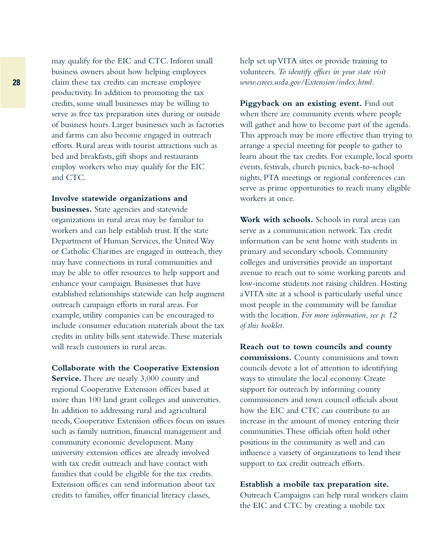may qualify for the EIC and CTC. Inform small business owners about how helping employees claim these tax credits can increase employee productivity. In addition to promoting the tax credits, some small businesses may be willing to serve as free tax preparation sites during or outside of business hours. Larger businesses such as factories and farms can also become engaged in outreach efforts. Rural areas with tourist attractions such as bed and breakfasts, gift shops and restaurants employ workers who may qualify for the EIC and CTC.

**Involve statewide organizations and businesses.** State agencies and statewide organizations in rural areas may be familiar to workers and can help establish trust. If the state Department of Human Services, the United Way or Catholic Charities are engaged in outreach, they may have connections in rural communities and may be able to offer resources to help support and enhance your campaign. Businesses that have established relationships statewide can help augment outreach campaign efforts in rural areas. For example, utility companies can be encouraged to include consumer education materials about the tax credits in utility bills sent statewide.These materials will reach customers in rural areas.

**Collaborate with the Cooperative Extension Service.** There are nearly 3,000 county and regional Cooperative Extension offices based at more than 100 land grant colleges and universities. In addition to addressing rural and agricultural needs, Cooperative Extension offices focus on issues such as family nutrition, financial management and community economic development. Many university extension offices are already involved with tax credit outreach and have contact with families that could be eligible for the tax credits. Extension offices can send information about tax credits to families, offer financial literacy classes,

help set up VITA sites or provide training to volunteers. *To identify offices in your state visit www.csrees.usda.gov/Extension/index.html.*

**Piggyback on an existing event.** Find out when there are community events where people will gather and how to become part of the agenda. This approach may be more effective than trying to arrange a special meeting for people to gather to learn about the tax credits. For example, local sports events, festivals, church picnics, back-to-school nights, PTA meetings or regional conferences can serve as prime opportunities to reach many eligible workers at once.

**Work with schools.** Schools in rural areas can serve as a communication network.Tax credit information can be sent home with students in primary and secondary schools. Community colleges and universities provide an important avenue to reach out to some working parents and low-income students not raising children. Hosting a VITA site at a school is particularly useful since most people in the community will be familiar with the location. *For more information, see p. 12 of this booklet.*

**Reach out to town councils and county commissions.** County commissions and town councils devote a lot of attention to identifying ways to stimulate the local economy. Create support for outreach by informing county commissioners and town council officials about how the EIC and CTC can contribute to an increase in the amount of money entering their communities.These officials often hold other positions in the community as well and can influence a variety of organizations to lend their support to tax credit outreach efforts.

#### **Establish a mobile tax preparation site.**

Outreach Campaigns can help rural workers claim the EIC and CTC by creating a mobile tax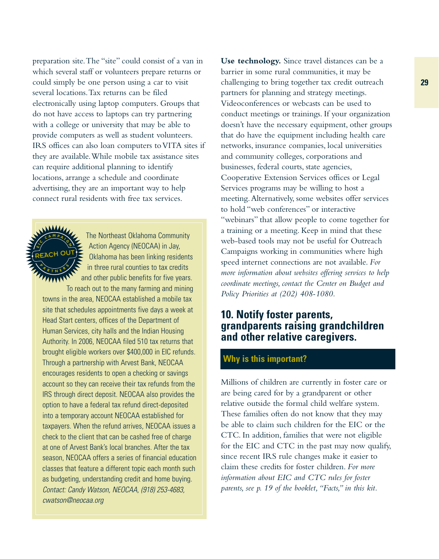preparation site.The "site" could consist of a van in which several staff or volunteers prepare returns or could simply be one person using a car to visit several locations.Tax returns can be filed electronically using laptop computers. Groups that do not have access to laptops can try partnering with a college or university that may be able to provide computers as well as student volunteers. IRS offices can also loan computers to VITA sites if they are available.While mobile tax assistance sites can require additional planning to identify locations, arrange a schedule and coordinate advertising, they are an important way to help connect rural residents with free tax services.



The Northeast Oklahoma Community Action Agency (NEOCAA) in Jay, Oklahoma has been linking residents in three rural counties to tax credits and other public benefits for five years.

To reach out to the many farming and mining towns in the area, NEOCAA established a mobile tax site that schedules appointments five days a week at Head Start centers, offices of the Department of Human Services, city halls and the Indian Housing Authority. In 2006, NEOCAA filed 510 tax returns that brought eligible workers over \$400,000 in EIC refunds. Through a partnership with Arvest Bank, NEOCAA encourages residents to open a checking or savings account so they can receive their tax refunds from the IRS through direct deposit. NEOCAA also provides the option to have a federal tax refund direct-deposited into a temporary account NEOCAA established for taxpayers. When the refund arrives, NEOCAA issues a check to the client that can be cashed free of charge at one of Arvest Bank's local branches. After the tax season, NEOCAA offers a series of financial education classes that feature a different topic each month such as budgeting, understanding credit and home buying. Contact: Candy Watson, NEOCAA, (918) 253-4683, cwatson@neocaa.org

**Use technology.** Since travel distances can be a barrier in some rural communities, it may be challenging to bring together tax credit outreach partners for planning and strategy meetings. Videoconferences or webcasts can be used to conduct meetings or trainings. If your organization doesn't have the necessary equipment, other groups that do have the equipment including health care networks, insurance companies, local universities and community colleges, corporations and businesses, federal courts, state agencies, Cooperative Extension Services offices or Legal Services programs may be willing to host a meeting.Alternatively, some websites offer services to hold "web conferences" or interactive "webinars" that allow people to come together for a training or a meeting. Keep in mind that these web-based tools may not be useful for Outreach Campaigns working in communities where high speed internet connections are not available. *For more information about websites offering services to help coordinate meetings, contact the Center on Budget and Policy Priorities at (202) 408-1080.*

## **10. Notify foster parents, grandparents raising grandchildren and other relative caregivers.**

## **Why is this important?**

Millions of children are currently in foster care or are being cared for by a grandparent or other relative outside the formal child welfare system. These families often do not know that they may be able to claim such children for the EIC or the CTC. In addition, families that were not eligible for the EIC and CTC in the past may now qualify, since recent IRS rule changes make it easier to claim these credits for foster children. *For more information about EIC and CTC rules for foster parents, see p. 19 of the booklet,"Facts," in this kit.*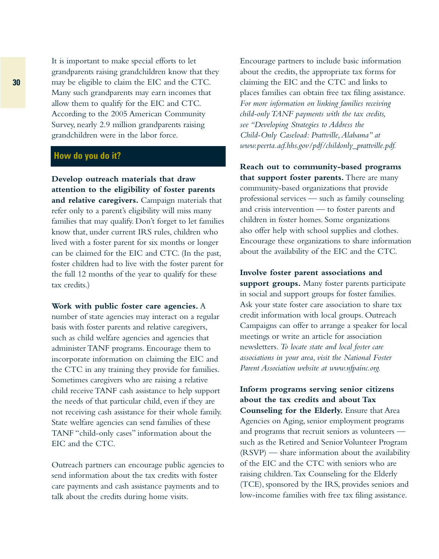It is important to make special efforts to let grandparents raising grandchildren know that they may be eligible to claim the EIC and the CTC. Many such grandparents may earn incomes that allow them to qualify for the EIC and CTC. According to the 2005 American Community Survey, nearly 2.9 million grandparents raising grandchildren were in the labor force.

#### **How do you do it?**

**Develop outreach materials that draw attention to the eligibility of foster parents and relative caregivers.** Campaign materials that refer only to a parent's eligibility will miss many families that may qualify. Don't forget to let families know that, under current IRS rules, children who lived with a foster parent for six months or longer can be claimed for the EIC and CTC. (In the past, foster children had to live with the foster parent for the full 12 months of the year to qualify for these tax credits.)

**Work with public foster care agencies.** A number of state agencies may interact on a regular basis with foster parents and relative caregivers, such as child welfare agencies and agencies that administer TANF programs. Encourage them to incorporate information on claiming the EIC and the CTC in any training they provide for families. Sometimes caregivers who are raising a relative child receive TANF cash assistance to help support the needs of that particular child, even if they are not receiving cash assistance for their whole family. State welfare agencies can send families of these TANF "child-only cases" information about the EIC and the CTC.

Outreach partners can encourage public agencies to send information about the tax credits with foster care payments and cash assistance payments and to talk about the credits during home visits.

Encourage partners to include basic information about the credits, the appropriate tax forms for claiming the EIC and the CTC and links to places families can obtain free tax filing assistance. *For more information on linking families receiving child-only TANF payments with the tax credits, see "Developing Strategies to Address the Child-Only Caseload: Prattville,Alabama" at www.peerta.acf.hhs.gov/pdf/childonly\_prattville.pdf.*

**Reach out to community-based programs that support foster parents.** There are many community-based organizations that provide professional services — such as family counseling and crisis intervention — to foster parents and children in foster homes. Some organizations also offer help with school supplies and clothes. Encourage these organizations to share information about the availability of the EIC and the CTC.

**Involve foster parent associations and support groups.** Many foster parents participate in social and support groups for foster families. Ask your state foster care association to share tax credit information with local groups. Outreach Campaigns can offer to arrange a speaker for local meetings or write an article for association newsletters. *To locate state and local foster care associations in your area, visit the National Foster Parent Association website at www.nfpainc.org.*

**Inform programs serving senior citizens about the tax credits and about Tax Counseling for the Elderly.** Ensure that Area Agencies on Aging, senior employment programs and programs that recruit seniors as volunteers such as the Retired and Senior Volunteer Program (RSVP) — share information about the availability of the EIC and the CTC with seniors who are raising children.Tax Counseling for the Elderly (TCE), sponsored by the IRS, provides seniors and low-income families with free tax filing assistance.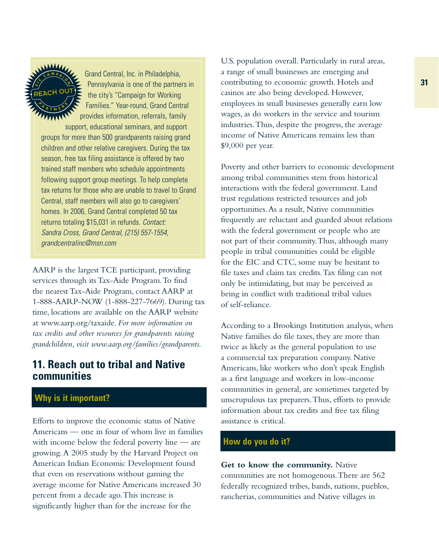**E**ن<br>/ډ **<sup>C</sup> <sup>A</sup> <sup>M</sup> <sup>P</sup> <sup>A</sup> <sup>I</sup> <sup>G</sup> N**  $\sqrt[n]{\frac{A}{R}}$  **T N E**  $\frac{6}{5}$ REACH OUT

Grand Central, Inc. in Philadelphia, Pennsylvania is one of the partners in the city's "Campaign for Working Families." Year-round, Grand Central provides information, referrals, family support, educational seminars, and support

groups for more than 500 grandparents raising grand children and other relative caregivers. During the tax season, free tax filing assistance is offered by two trained staff members who schedule appointments following support group meetings. To help complete tax returns for those who are unable to travel to Grand Central, staff members will also go to caregivers' homes. In 2006, Grand Central completed 50 tax returns totaling \$15,031 in refunds. Contact: Sandra Cross, Grand Central, (215) 557-1554, grandcentralinc@msn.com

AARP is the largest TCE participant, providing services through its Tax-Aide Program.To find the nearest Tax-Aide Program, contact AARP at 1-888-AARP-NOW (1-888-227-7669). During tax time, locations are available on the AARP website at www.aarp.org/taxaide. *For more information on tax credits and other resources for grandparents raising grandchildren, visit www.aarp.org/families/grandparents.*

## **11. Reach out to tribal and Native communities**

## **Why is it important?**

Efforts to improve the economic status of Native Americans — one in four of whom live in families with income below the federal poverty line — are growing.A 2005 study by the Harvard Project on American Indian Economic Development found that even on reservations without gaming the average income for Native Americans increased 30 percent from a decade ago.This increase is significantly higher than for the increase for the

U.S. population overall. Particularly in rural areas, a range of small businesses are emerging and contributing to economic growth. Hotels and casinos are also being developed. However, employees in small businesses generally earn low wages, as do workers in the service and tourism industries.Thus, despite the progress, the average income of Native Americans remains less than \$9,000 per year.

Poverty and other barriers to economic development among tribal communities stem from historical interactions with the federal government. Land trust regulations restricted resources and job opportunities.As a result, Native communities frequently are reluctant and guarded about relations with the federal government or people who are not part of their community.Thus, although many people in tribal communities could be eligible for the EIC and CTC, some may be hesitant to file taxes and claim tax credits.Tax filing can not only be intimidating, but may be perceived as being in conflict with traditional tribal values of self-reliance.

According to a Brookings Institution analysis, when Native families do file taxes, they are more than twice as likely as the general population to use a commercial tax preparation company. Native Americans, like workers who don't speak English as a first language and workers in low-income communities in general, are sometimes targeted by unscrupulous tax preparers.Thus, efforts to provide information about tax credits and free tax filing assistance is critical.

### **How do you do it?**

**Get to know the community.** Native communities are not homogenous.There are 562 federally recognized tribes, bands, nations, pueblos, rancherias, communities and Native villages in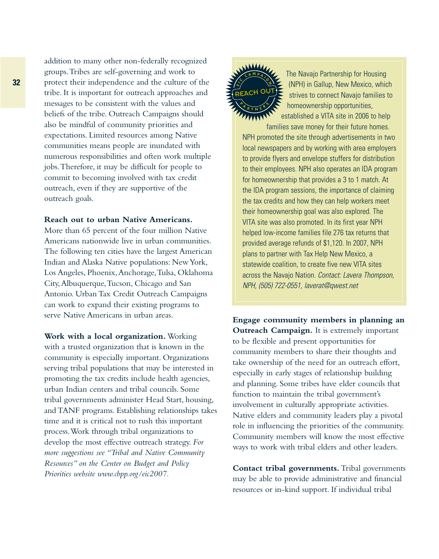addition to many other non-federally recognized groups.Tribes are self-governing and work to protect their independence and the culture of the tribe. It is important for outreach approaches and messages to be consistent with the values and beliefs of the tribe. Outreach Campaigns should also be mindful of community priorities and expectations. Limited resources among Native communities means people are inundated with numerous responsibilities and often work multiple jobs.Therefore, it may be difficult for people to commit to becoming involved with tax credit outreach, even if they are supportive of the outreach goals.

#### **Reach out to urban Native Americans.**

More than 65 percent of the four million Native Americans nationwide live in urban communities. The following ten cities have the largest American Indian and Alaska Native populations: New York, Los Angeles, Phoenix,Anchorage,Tulsa, Oklahoma City,Albuquerque,Tucson, Chicago and San Antonio. Urban Tax Credit Outreach Campaigns can work to expand their existing programs to serve Native Americans in urban areas.

**Work with a local organization.** Working with a trusted organization that is known in the community is especially important. Organizations serving tribal populations that may be interested in promoting the tax credits include health agencies, urban Indian centers and tribal councils. Some tribal governments administer Head Start, housing, and TANF programs. Establishing relationships takes time and it is critical not to rush this important process.Work through tribal organizations to develop the most effective outreach strategy. *For more suggestions see "Tribal and Native Community Resources" on the Center on Budget and Policy Priorities website www.cbpp.org/eic2007.*



The Navajo Partnership for Housing (NPH) in Gallup, New Mexico, which strives to connect Navajo families to homeownership opportunities,

established a VITA site in 2006 to help families save money for their future homes.

NPH promoted the site through advertisements in two local newspapers and by working with area employers to provide flyers and envelope stuffers for distribution to their employees. NPH also operates an IDA program for homeownership that provides a 3 to 1 match. At the IDA program sessions, the importance of claiming the tax credits and how they can help workers meet their homeownership goal was also explored. The VITA site was also promoted. In its first year NPH helped low-income families file 276 tax returns that provided average refunds of \$1,120. In 2007, NPH plans to partner with Tax Help New Mexico, a statewide coalition, to create five new VITA sites across the Navajo Nation. Contact: Lavera Thompson, NPH, (505) 722-0551, laverat@qwest.net

**Engage community members in planning an Outreach Campaign.** It is extremely important to be flexible and present opportunities for community members to share their thoughts and take ownership of the need for an outreach effort, especially in early stages of relationship building and planning. Some tribes have elder councils that function to maintain the tribal government's involvement in culturally appropriate activities. Native elders and community leaders play a pivotal role in influencing the priorities of the community. Community members will know the most effective ways to work with tribal elders and other leaders.

**Contact tribal governments.** Tribal governments may be able to provide administrative and financial resources or in-kind support. If individual tribal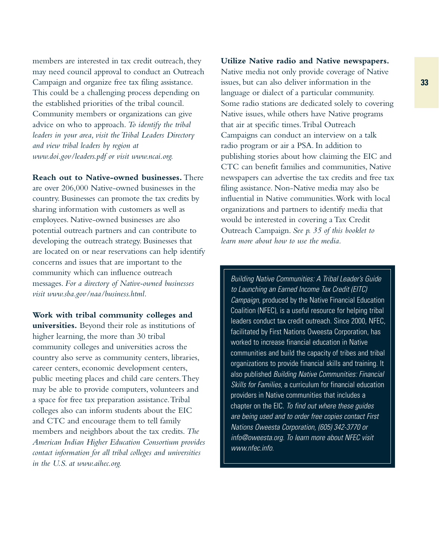members are interested in tax credit outreach, they may need council approval to conduct an Outreach Campaign and organize free tax filing assistance. This could be a challenging process depending on the established priorities of the tribal council. Community members or organizations can give advice on who to approach. *To identify the tribal leaders in your area, visit the Tribal Leaders Directory and view tribal leaders by region at www.doi.gov/leaders.pdf or visit www.ncai.org.*

**Reach out to Native-owned businesses.** There are over 206,000 Native-owned businesses in the country. Businesses can promote the tax credits by sharing information with customers as well as employees. Native-owned businesses are also potential outreach partners and can contribute to developing the outreach strategy. Businesses that are located on or near reservations can help identify concerns and issues that are important to the community which can influence outreach messages. *For a directory of Native-owned businesses visit www.sba.gov/naa/business.html.*

**Work with tribal community colleges and universities.** Beyond their role as institutions of higher learning, the more than 30 tribal community colleges and universities across the country also serve as community centers, libraries, career centers, economic development centers, public meeting places and child care centers.They may be able to provide computers, volunteers and a space for free tax preparation assistance.Tribal colleges also can inform students about the EIC and CTC and encourage them to tell family members and neighbors about the tax credits. *The American Indian Higher Education Consortium provides contact information for all tribal colleges and universities in the U.S. at www.aihec.org.*

#### **Utilize Native radio and Native newspapers.**

Native media not only provide coverage of Native issues, but can also deliver information in the language or dialect of a particular community. Some radio stations are dedicated solely to covering Native issues, while others have Native programs that air at specific times.Tribal Outreach Campaigns can conduct an interview on a talk radio program or air a PSA. In addition to publishing stories about how claiming the EIC and CTC can benefit families and communities, Native newspapers can advertise the tax credits and free tax filing assistance. Non-Native media may also be influential in Native communities.Work with local organizations and partners to identify media that would be interested in covering a Tax Credit Outreach Campaign. *See p. 35 of this booklet to learn more about how to use the media.*

Building Native Communities: A Tribal Leader's Guide to Launching an Earned Income Tax Credit (EITC) Campaign, produced by the Native Financial Education Coalition (NFEC), is a useful resource for helping tribal leaders conduct tax credit outreach. Since 2000, NFEC, facilitated by First Nations Oweesta Corporation, has worked to increase financial education in Native communities and build the capacity of tribes and tribal organizations to provide financial skills and training. It also published Building Native Communities: Financial Skills for Families, a curriculum for financial education providers in Native communities that includes a chapter on the EIC. To find out where these guides are being used and to order free copies contact First Nations Oweesta Corporation, (605) 342-3770 or info@oweesta.org. To learn more about NFEC visit www.nfec.info.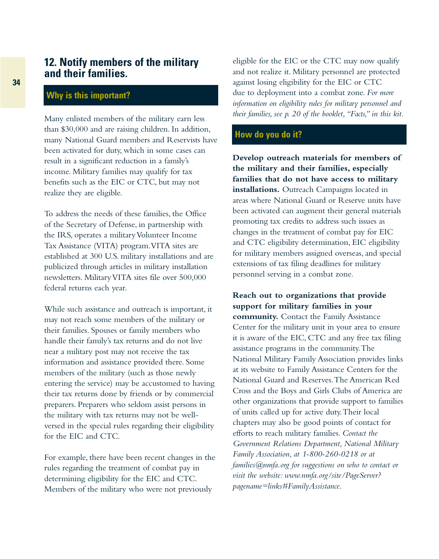## **12. Notify members of the military and their families.**

#### **Why is this important?**

Many enlisted members of the military earn less than \$30,000 and are raising children. In addition, many National Guard members and Reservists have been activated for duty, which in some cases can result in a significant reduction in a family's income. Military families may qualify for tax benefits such as the EIC or CTC, but may not realize they are eligible.

To address the needs of these families, the Office of the Secretary of Defense, in partnership with the IRS, operates a military Volunteer Income Tax Assistance (VITA) program.VITA sites are established at 300 U.S. military installations and are publicized through articles in military installation newsletters. Military VITA sites file over 500,000 federal returns each year.

While such assistance and outreach is important, it may not reach some members of the military or their families. Spouses or family members who handle their family's tax returns and do not live near a military post may not receive the tax information and assistance provided there. Some members of the military (such as those newly entering the service) may be accustomed to having their tax returns done by friends or by commercial preparers. Preparers who seldom assist persons in the military with tax returns may not be wellversed in the special rules regarding their eligibility for the EIC and CTC.

For example, there have been recent changes in the rules regarding the treatment of combat pay in determining eligibility for the EIC and CTC. Members of the military who were not previously

eligible for the EIC or the CTC may now qualify and not realize it. Military personnel are protected against losing eligibility for the EIC or CTC due to deployment into a combat zone. *For more information on eligibility rules for military personnel and their families, see p. 20 of the booklet,"Facts," in this kit.*

#### **How do you do it?**

**Develop outreach materials for members of the military and their families, especially families that do not have access to military installations.** Outreach Campaigns located in areas where National Guard or Reserve units have been activated can augment their general materials promoting tax credits to address such issues as changes in the treatment of combat pay for EIC and CTC eligibility determination, EIC eligibility for military members assigned overseas, and special extensions of tax filing deadlines for military personnel serving in a combat zone.

**Reach out to organizations that provide support for military families in your community.** Contact the Family Assistance Center for the military unit in your area to ensure it is aware of the EIC, CTC and any free tax filing assistance programs in the community.The National Military Family Association provides links at its website to Family Assistance Centers for the National Guard and Reserves.The American Red Cross and the Boys and Girls Clubs of America are other organizations that provide support to families of units called up for active duty.Their local chapters may also be good points of contact for efforts to reach military families. *Contact the Government Relations Department, National Military Family Association, at 1-800-260-0218 or at families@nmfa.org for suggestions on who to contact or visit the website: www.nmfa.org/site/PageServer? pagename=links#FamilyAssistance.*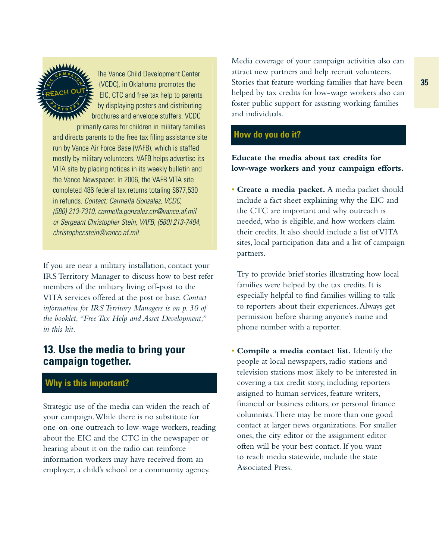

The Vance Child Development Center (VCDC), in Oklahoma promotes the EIC, CTC and free tax help to parents by displaying posters and distributing brochures and envelope stuffers. VCDC

primarily cares for children in military families and directs parents to the free tax filing assistance site run by Vance Air Force Base (VAFB), which is staffed mostly by military volunteers. VAFB helps advertise its VITA site by placing notices in its weekly bulletin and the Vance Newspaper. In 2006, the VAFB VITA site completed 486 federal tax returns totaling \$677,530 in refunds. Contact: Carmella Gonzalez, VCDC, (580) 213-7310, carmella.gonzalez.ctr@vance.af.mil or Sergeant Christopher Stein, VAFB, (580) 213-7404, christopher.stein@vance.af.mil

If you are near a military installation, contact your IRS Territory Manager to discuss how to best refer members of the military living off-post to the VITA services offered at the post or base. *Contact information for IRS Territory Managers is on p. 30 of the booklet,"Free Tax Help and Asset Development," in this kit.*

## **13. Use the media to bring your campaign together.**

### **Why is this important?**

Strategic use of the media can widen the reach of your campaign.While there is no substitute for one-on-one outreach to low-wage workers, reading about the EIC and the CTC in the newspaper or hearing about it on the radio can reinforce information workers may have received from an employer, a child's school or a community agency.

Media coverage of your campaign activities also can attract new partners and help recruit volunteers. Stories that feature working families that have been helped by tax credits for low-wage workers also can foster public support for assisting working families and individuals.

## **How do you do it?**

#### **Educate the media about tax credits for low-wage workers and your campaign efforts.**

• **Create a media packet.** A media packet should include a fact sheet explaining why the EIC and the CTC are important and why outreach is needed, who is eligible, and how workers claim their credits. It also should include a list of VITA sites, local participation data and a list of campaign partners.

Try to provide brief stories illustrating how local families were helped by the tax credits. It is especially helpful to find families willing to talk to reporters about their experiences.Always get permission before sharing anyone's name and phone number with a reporter.

• **Compile a media contact list.** Identify the people at local newspapers, radio stations and television stations most likely to be interested in covering a tax credit story, including reporters assigned to human services, feature writers, financial or business editors, or personal finance columnists.There may be more than one good contact at larger news organizations. For smaller ones, the city editor or the assignment editor often will be your best contact. If you want to reach media statewide, include the state Associated Press.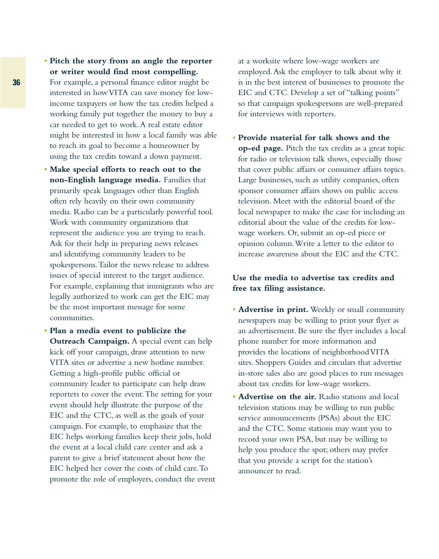- **Pitch the story from an angle the reporter or writer would find most compelling.**
- For example, a personal finance editor might be interested in how VITA can save money for lowincome taxpayers or how the tax credits helped a working family put together the money to buy a car needed to get to work.A real estate editor might be interested in how a local family was able to reach its goal to become a homeowner by using the tax credits toward a down payment.
- **Make special efforts to reach out to the non-English language media.** Families that primarily speak languages other than English often rely heavily on their own community media. Radio can be a particularly powerful tool. Work with community organizations that represent the audience you are trying to reach. Ask for their help in preparing news releases and identifying community leaders to be spokespersons.Tailor the news release to address issues of special interest to the target audience. For example, explaining that immigrants who are legally authorized to work can get the EIC may be the most important message for some communities.
- **Plan a media event to publicize the Outreach Campaign.** A special event can help kick off your campaign, draw attention to new VITA sites or advertise a new hotline number. Getting a high-profile public official or community leader to participate can help draw reporters to cover the event.The setting for your event should help illustrate the purpose of the EIC and the CTC, as well as the goals of your campaign. For example, to emphasize that the EIC helps working families keep their jobs, hold the event at a local child care center and ask a parent to give a brief statement about how the EIC helped her cover the costs of child care.To promote the role of employers, conduct the event

at a worksite where low-wage workers are employed.Ask the employer to talk about why it is in the best interest of businesses to promote the EIC and CTC. Develop a set of "talking points" so that campaign spokespersons are well-prepared for interviews with reporters.

• **Provide material for talk shows and the op-ed page.** Pitch the tax credits as a great topic for radio or television talk shows, especially those that cover public affairs or consumer affairs topics. Large businesses, such as utility companies, often sponsor consumer affairs shows on public access television. Meet with the editorial board of the local newspaper to make the case for including an editorial about the value of the credits for lowwage workers. Or, submit an op-ed piece or opinion column.Write a letter to the editor to increase awareness about the EIC and the CTC.

#### **Use the media to advertise tax credits and free tax filing assistance.**

- **Advertise in print.** Weekly or small community newspapers may be willing to print your flyer as an advertisement. Be sure the flyer includes a local phone number for more information and provides the locations of neighborhood VITA sites. Shoppers Guides and circulars that advertise in-store sales also are good places to run messages about tax credits for low-wage workers.
- **Advertise on the air.** Radio stations and local television stations may be willing to run public service announcements (PSAs) about the EIC and the CTC. Some stations may want you to record your own PSA, but may be willing to help you produce the spot; others may prefer that you provide a script for the station's announcer to read.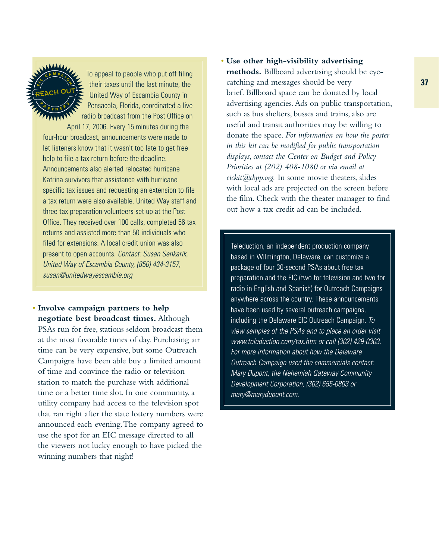

To appeal to people who put off filing their taxes until the last minute, the United Way of Escambia County in Pensacola, Florida, coordinated a live radio broadcast from the Post Office on

April 17, 2006. Every 15 minutes during the four-hour broadcast, announcements were made to let listeners know that it wasn't too late to get free help to file a tax return before the deadline. Announcements also alerted relocated hurricane Katrina survivors that assistance with hurricane specific tax issues and requesting an extension to file a tax return were also available. United Way staff and three tax preparation volunteers set up at the Post Office. They received over 100 calls, completed 56 tax returns and assisted more than 50 individuals who filed for extensions. A local credit union was also present to open accounts. Contact: Susan Senkarik, United Way of Escambia County, (850) 434-3157, susan@unitedwayescambia.org

• **Involve campaign partners to help negotiate best broadcast times.** Although PSAs run for free, stations seldom broadcast them at the most favorable times of day. Purchasing air time can be very expensive, but some Outreach Campaigns have been able buy a limited amount of time and convince the radio or television station to match the purchase with additional time or a better time slot. In one community, a utility company had access to the television spot that ran right after the state lottery numbers were announced each evening.The company agreed to use the spot for an EIC message directed to all the viewers not lucky enough to have picked the winning numbers that night!

• **Use other high-visibility advertising methods.** Billboard advertising should be eyecatching and messages should be very brief. Billboard space can be donated by local advertising agencies.Ads on public transportation, such as bus shelters, busses and trains, also are useful and transit authorities may be willing to donate the space. *For information on how the poster in this kit can be modified for public transportation displays, contact the Center on Budget and Policy Priorities at (202) 408-1080 or via email at eickit@cbpp.org.* In some movie theaters, slides with local ads are projected on the screen before the film. Check with the theater manager to find out how a tax credit ad can be included.

Teleduction, an independent production company based in Wilmington, Delaware, can customize a package of four 30-second PSAs about free tax preparation and the EIC (two for television and two for radio in English and Spanish) for Outreach Campaigns anywhere across the country. These announcements have been used by several outreach campaigns, including the Delaware EIC Outreach Campaign. To view samples of the PSAs and to place an order visit www.teleduction.com/tax.htm or call (302) 429-0303. For more information about how the Delaware Outreach Campaign used the commercials contact: Mary Dupont, the Nehemiah Gateway Community Development Corporation, (302) 655-0803 or mary@marydupont.com.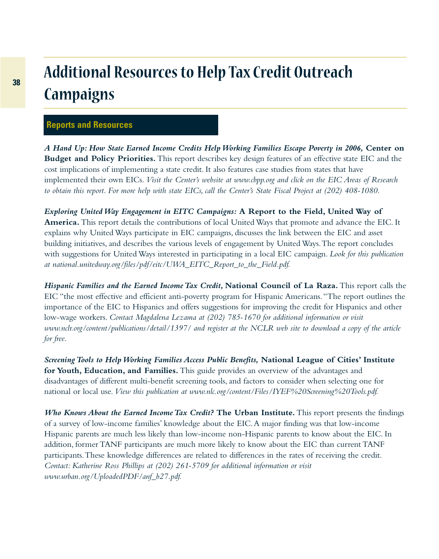# **Additional Resources to Help Tax Credit Outreach Campaigns**

#### **Reports and Resources**

*A Hand Up: How State Earned Income Credits Help Working Families Escape Poverty in 2006,* **Center on Budget and Policy Priorities.** This report describes key design features of an effective state EIC and the cost implications of implementing a state credit. It also features case studies from states that have implemented their own EICs. *Visit the Center's website at www.cbpp.org and click on the EIC Areas of Research to obtain this report. For more help with state EICs, call the Center's State Fiscal Project at (202) 408-1080.*

*Exploring United Way Engagement in EITC Campaigns:* **A Report to the Field, United Way of America.** This report details the contributions of local United Ways that promote and advance the EIC. It explains why United Ways participate in EIC campaigns, discusses the link between the EIC and asset building initiatives, and describes the various levels of engagement by United Ways.The report concludes with suggestions for United Ways interested in participating in a local EIC campaign. *Look for this publication at national.unitedway.org/files/pdf/eitc/UWA\_EITC\_Report\_to\_the\_Field.pdf.*

*Hispanic Families and the Earned Income Tax Credit,* **National Council of La Raza.** This report calls the EIC "the most effective and efficient anti-poverty program for Hispanic Americans."The report outlines the importance of the EIC to Hispanics and offers suggestions for improving the credit for Hispanics and other low-wage workers. *Contact Magdalena Lezama at (202) 785-1670 for additional information or visit www.nclr.org/content/publications/detail/1397/ and register at the NCLR web site to download a copy of the article for free.*

*Screening Tools to Help Working Families Access Public Benefits,* **National League of Cities' Institute for Youth, Education, and Families.** This guide provides an overview of the advantages and disadvantages of different multi-benefit screening tools, and factors to consider when selecting one for national or local use.*View this publication at www.nlc.org/content/Files/IYEF%20Screening%20Tools.pdf.*

*Who Knows About the Earned Income Tax Credit?* **The Urban Institute.** This report presents the findings of a survey of low-income families' knowledge about the EIC.A major finding was that low-income Hispanic parents are much less likely than low-income non-Hispanic parents to know about the EIC. In addition, former TANF participants are much more likely to know about the EIC than current TANF participants.These knowledge differences are related to differences in the rates of receiving the credit. *Contact: Katherine Ross Phillips at (202) 261-5709 for additional information or visit www.urban.org/UploadedPDF/anf\_b27.pdf.*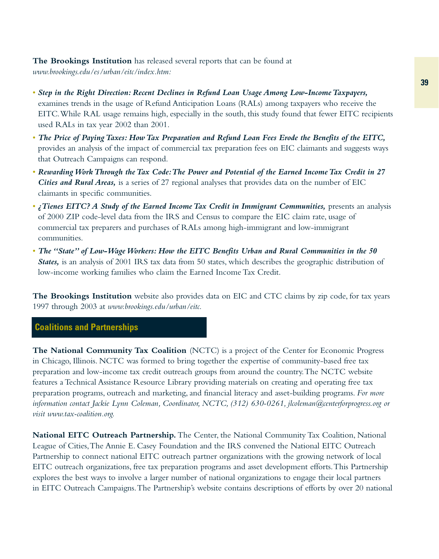**The Brookings Institution** has released several reports that can be found at *www.brookings.edu/es/urban/eitc/index.htm:*

- *Step in the Right Direction: Recent Declines in Refund Loan Usage Among Low-Income Taxpayers,* examines trends in the usage of Refund Anticipation Loans (RALs) among taxpayers who receive the EITC.While RAL usage remains high, especially in the south, this study found that fewer EITC recipients used RALs in tax year 2002 than 2001.
- *The Price of Paying Taxes: How Tax Preparation and Refund Loan Fees Erode the Benefits of the EITC,* provides an analysis of the impact of commercial tax preparation fees on EIC claimants and suggests ways that Outreach Campaigns can respond.
- *Rewarding Work Through the Tax Code:The Power and Potential of the Earned Income Tax Credit in 27 Cities and Rural Areas,* is a series of 27 regional analyses that provides data on the number of EIC claimants in specific communities.
- *¿Tienes EITC? A Study of the Earned Income Tax Credit in Immigrant Communities,* presents an analysis of 2000 ZIP code-level data from the IRS and Census to compare the EIC claim rate, usage of commercial tax preparers and purchases of RALs among high-immigrant and low-immigrant communities.
- *The "State" of Low-Wage Workers: How the EITC Benefits Urban and Rural Communities in the 50 States,* is an analysis of 2001 IRS tax data from 50 states, which describes the geographic distribution of low-income working families who claim the Earned Income Tax Credit.

**The Brookings Institution** website also provides data on EIC and CTC claims by zip code, for tax years 1997 through 2003 at *www.brookings.edu/urban/eitc.*

## **Coalitions and Partnerships**

**The National Community Tax Coalition** (NCTC) is a project of the Center for Economic Progress in Chicago, Illinois. NCTC was formed to bring together the expertise of community-based free tax preparation and low-income tax credit outreach groups from around the country.The NCTC website features a Technical Assistance Resource Library providing materials on creating and operating free tax preparation programs, outreach and marketing, and financial literacy and asset-building programs. *For more information contact Jackie Lynn Coleman, Coordinator, NCTC, (312) 630-0261, jlcoleman@centerforprogress.org or visit www.tax-coalition.org.*

**National EITC Outreach Partnership.** The Center, the National Community Tax Coalition, National League of Cities,The Annie E. Casey Foundation and the IRS convened the National EITC Outreach Partnership to connect national EITC outreach partner organizations with the growing network of local EITC outreach organizations, free tax preparation programs and asset development efforts.This Partnership explores the best ways to involve a larger number of national organizations to engage their local partners in EITC Outreach Campaigns.The Partnership's website contains descriptions of efforts by over 20 national